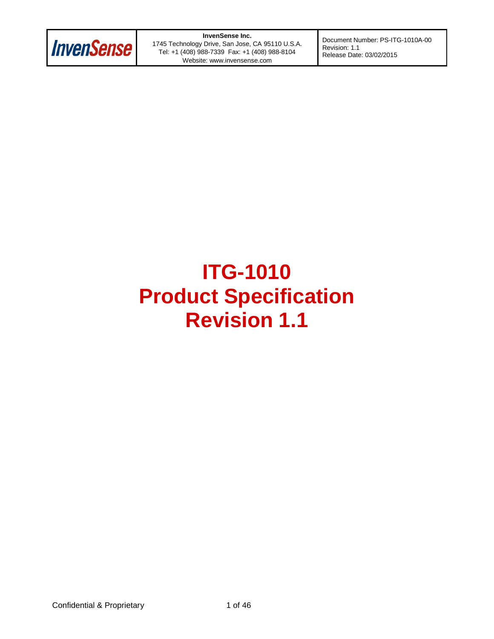

**InvenSense Inc.** 1745 Technology Drive, San Jose, CA 95110 U.S.A. Tel: +1 (408) 988-7339 Fax: +1 (408) 988-8104 Website: www.invensense.com

Document Number: PS-ITG-1010A-00 Revision: 1.1 Release Date: 03/02/2015

# **ITG-1010 Product Specification Revision 1.1**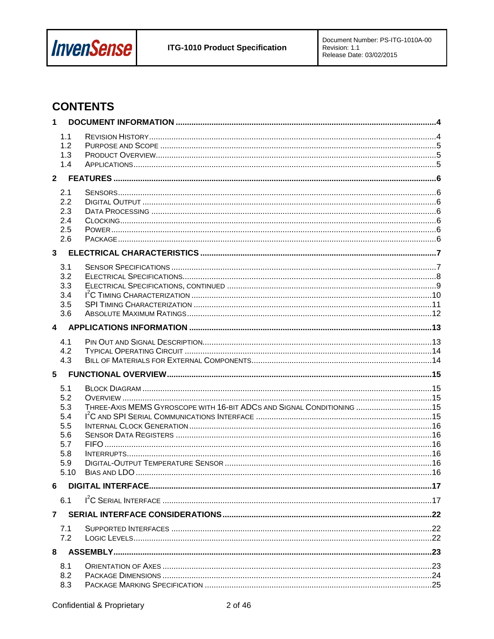

# **CONTENTS**

| 1                       |            |                                                                       |  |
|-------------------------|------------|-----------------------------------------------------------------------|--|
|                         | 1.1        |                                                                       |  |
|                         | 1.2<br>1.3 |                                                                       |  |
|                         | 1.4        |                                                                       |  |
|                         |            |                                                                       |  |
|                         | 2.1        |                                                                       |  |
|                         | 2.2        |                                                                       |  |
|                         | 2.3        |                                                                       |  |
|                         | 2.4        |                                                                       |  |
|                         | 2.5<br>2.6 |                                                                       |  |
|                         |            |                                                                       |  |
|                         |            |                                                                       |  |
|                         | 3.1<br>3.2 |                                                                       |  |
|                         | 3.3        |                                                                       |  |
|                         | 3.4        |                                                                       |  |
|                         | 3.5        |                                                                       |  |
|                         | 3.6        |                                                                       |  |
| $\overline{\mathbf{4}}$ |            |                                                                       |  |
|                         | 4.1        |                                                                       |  |
|                         | 4.2        |                                                                       |  |
|                         | 4.3        |                                                                       |  |
| 5                       |            |                                                                       |  |
|                         | 5.1        |                                                                       |  |
|                         | 5.2        |                                                                       |  |
|                         | 5.3<br>5.4 | THREE-AXIS MEMS GYROSCOPE WITH 16-BIT ADCS AND SIGNAL CONDITIONING 15 |  |
|                         | 5.5        |                                                                       |  |
|                         | 5.6        |                                                                       |  |
|                         | 5.7        |                                                                       |  |
|                         | 5.8<br>5.9 |                                                                       |  |
|                         | 5.10       |                                                                       |  |
| 6                       |            |                                                                       |  |
|                         | 6.1        |                                                                       |  |
| $\mathbf{7}$            |            |                                                                       |  |
|                         | 7.1        |                                                                       |  |
|                         | 7.2        |                                                                       |  |
| 8                       |            |                                                                       |  |
|                         | 8.1        |                                                                       |  |
|                         | 8.2        |                                                                       |  |
|                         | 8.3        |                                                                       |  |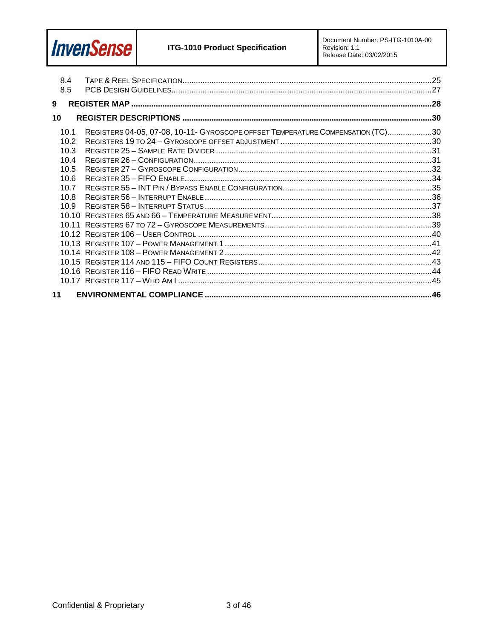

| 8.4<br>8.5                                                           |                                                                                 |  |
|----------------------------------------------------------------------|---------------------------------------------------------------------------------|--|
| 9                                                                    |                                                                                 |  |
| 10                                                                   |                                                                                 |  |
| 10.1<br>10.2<br>10.3<br>10.4<br>10.5<br>10.6<br>10.7<br>10.8<br>10.9 | REGISTERS 04-05, 07-08, 10-11- GYROSCOPE OFFSET TEMPERATURE COMPENSATION (TC)30 |  |
| 11                                                                   |                                                                                 |  |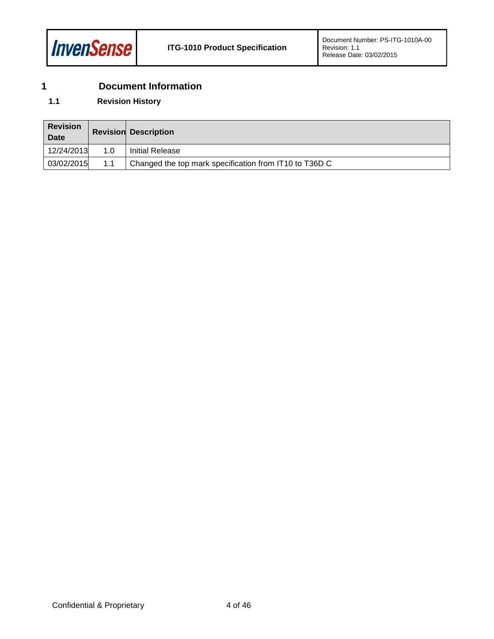

## <span id="page-3-0"></span>**1 Document Information**

### <span id="page-3-1"></span>**1.1 Revision History**

| <b>Revision</b><br><b>Date</b> |     | <b>Revision Description</b>                            |
|--------------------------------|-----|--------------------------------------------------------|
| 12/24/2013                     | 1.0 | <b>Initial Release</b>                                 |
| 03/02/2015                     | 1.1 | Changed the top mark specification from IT10 to T36D C |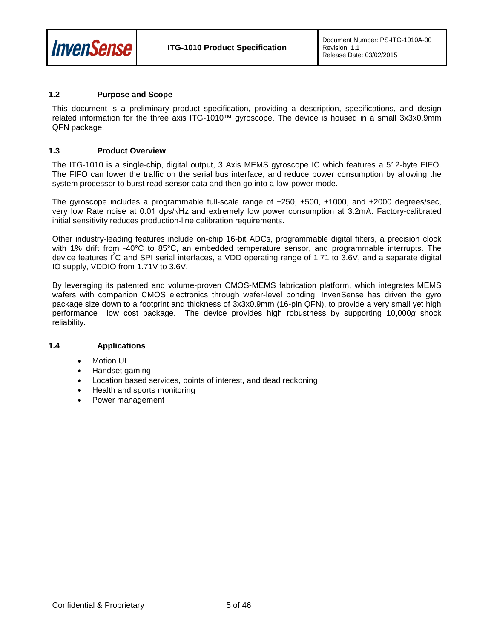

#### <span id="page-4-0"></span>**1.2 Purpose and Scope**

This document is a preliminary product specification, providing a description, specifications, and design related information for the three axis ITG-1010™ gyroscope. The device is housed in a small 3x3x0.9mm QFN package.

#### <span id="page-4-1"></span>**1.3 Product Overview**

The ITG-1010 is a single-chip, digital output, 3 Axis MEMS gyroscope IC which features a 512-byte FIFO. The FIFO can lower the traffic on the serial bus interface, and reduce power consumption by allowing the system processor to burst read sensor data and then go into a low-power mode.

The gyroscope includes a programmable full-scale range of  $\pm 250$ ,  $\pm 500$ ,  $\pm 1000$ , and  $\pm 2000$  degrees/sec, very low Rate noise at 0.01 dps/√Hz and extremely low power consumption at 3.2mA. Factory-calibrated initial sensitivity reduces production-line calibration requirements.

Other industry-leading features include on-chip 16-bit ADCs, programmable digital filters, a precision clock with 1% drift from -40°C to 85°C, an embedded temperature sensor, and programmable interrupts. The device features I<sup>2</sup>C and SPI serial interfaces, a VDD operating range of 1.71 to 3.6V, and a separate digital IO supply, VDDIO from 1.71V to 3.6V.

By leveraging its patented and volume-proven CMOS-MEMS fabrication platform, which integrates MEMS wafers with companion CMOS electronics through wafer-level bonding, InvenSense has driven the gyro package size down to a footprint and thickness of 3x3x0.9mm (16-pin QFN), to provide a very small yet high performance low cost package. The device provides high robustness by supporting 10,000*g* shock reliability.

#### <span id="page-4-2"></span>**1.4 Applications**

- Motion UI
- Handset gaming
- Location based services, points of interest, and dead reckoning
- Health and sports monitoring
- Power management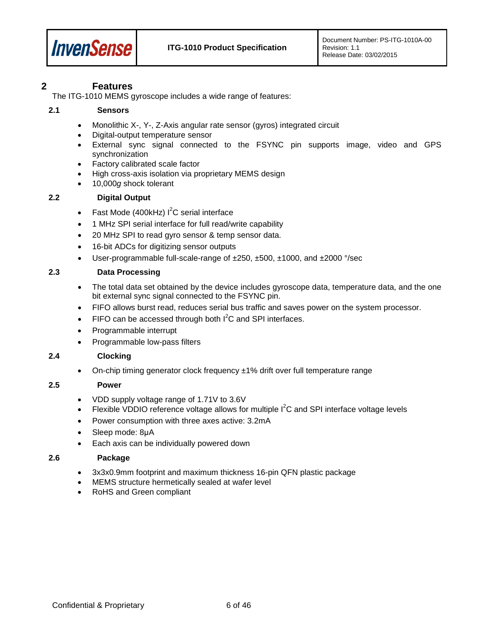

### <span id="page-5-0"></span>**2 Features**

The ITG-1010 MEMS gyroscope includes a wide range of features:

#### <span id="page-5-1"></span>**2.1 Sensors**

- Monolithic X-, Y-, Z-Axis angular rate sensor (gyros) integrated circuit
- Digital-output temperature sensor
- External sync signal connected to the FSYNC pin supports image, video and GPS synchronization
- Factory calibrated scale factor
- High cross-axis isolation via proprietary MEMS design
- 10,000*g* shock tolerant

#### <span id="page-5-2"></span>**2.2 Digital Output**

- Fast Mode (400kHz)  $I^2C$  serial interface
- 1 MHz SPI serial interface for full read/write capability
- 20 MHz SPI to read gyro sensor & temp sensor data.
- 16-bit ADCs for digitizing sensor outputs
- User-programmable full-scale-range of ±250, ±500, ±1000, and ±2000 °/sec

#### <span id="page-5-3"></span>**2.3 Data Processing**

- The total data set obtained by the device includes gyroscope data, temperature data, and the one bit external sync signal connected to the FSYNC pin.
- FIFO allows burst read, reduces serial bus traffic and saves power on the system processor.
- FIFO can be accessed through both  $I^2C$  and SPI interfaces.
- Programmable interrupt
- Programmable low-pass filters

#### <span id="page-5-4"></span>**2.4 Clocking**

On-chip timing generator clock frequency  $\pm 1\%$  drift over full temperature range

#### <span id="page-5-5"></span>**2.5 Power**

- VDD supply voltage range of 1.71V to 3.6V
- Flexible VDDIO reference voltage allows for multiple  $I^2C$  and SPI interface voltage levels
- Power consumption with three axes active: 3.2mA
- Sleep mode: 8uA
- Each axis can be individually powered down

#### <span id="page-5-6"></span>**2.6 Package**

- 3x3x0.9mm footprint and maximum thickness 16-pin QFN plastic package
- MEMS structure hermetically sealed at wafer level
- RoHS and Green compliant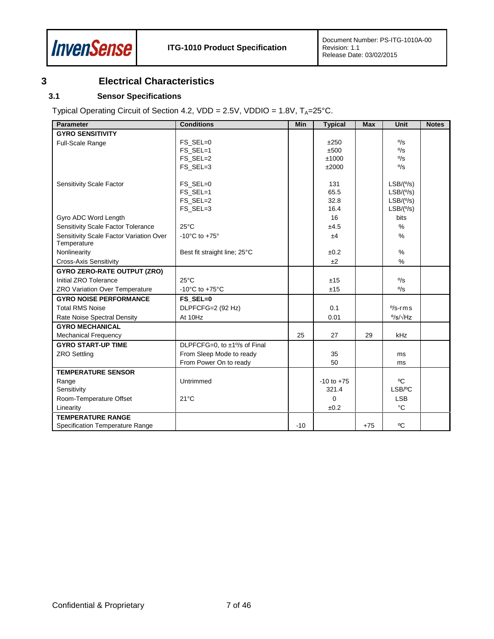

## <span id="page-6-0"></span>**3 Electrical Characteristics**

#### <span id="page-6-1"></span>**3.1 Sensor Specifications**

Typical Operating Circuit of Section [4.2,](#page-13-0) VDD =  $2.5V$ , VDDIO =  $1.8V$ , T<sub>A</sub>= $25^{\circ}$ C.

| <b>Parameter</b>                        | <b>Conditions</b>                    | Min   | <b>Typical</b> | <b>Max</b> | Unit                                      | <b>Notes</b> |
|-----------------------------------------|--------------------------------------|-------|----------------|------------|-------------------------------------------|--------------|
| <b>GYRO SENSITIVITY</b>                 |                                      |       |                |            |                                           |              |
| Full-Scale Range                        | FS SEL=0                             |       | ±250           |            | $\frac{0}{\text{S}}$                      |              |
|                                         | FS_SEL=1                             |       | ±500           |            | $\frac{0}{\text{S}}$                      |              |
|                                         | FS_SEL=2                             |       | ±1000          |            | $\frac{0}{\text{S}}$                      |              |
|                                         | FS_SEL=3                             |       | ±2000          |            | $\frac{0}{\text{S}}$                      |              |
|                                         |                                      |       |                |            |                                           |              |
| Sensitivity Scale Factor                | FS_SEL=0                             |       | 131            |            | LSB/(°/s)                                 |              |
|                                         | FS_SEL=1<br>FS_SEL=2                 |       | 65.5<br>32.8   |            | LSB/(°/s)                                 |              |
|                                         | FS_SEL=3                             |       | 16.4           |            | LSB/(°/s)<br>LSB/(°/s)                    |              |
| Gyro ADC Word Length                    |                                      |       | 16             |            | <b>bits</b>                               |              |
| Sensitivity Scale Factor Tolerance      | $25^{\circ}$ C                       |       | ±4.5           |            | %                                         |              |
| Sensitivity Scale Factor Variation Over | -10 $^{\circ}$ C to +75 $^{\circ}$   |       | ±4             |            | $\%$                                      |              |
| Temperature                             |                                      |       |                |            |                                           |              |
| Nonlinearity                            | Best fit straight line; 25°C         |       | ±0.2           |            | $\%$                                      |              |
| <b>Cross-Axis Sensitivity</b>           |                                      |       | ±2             |            | %                                         |              |
| <b>GYRO ZERO-RATE OUTPUT (ZRO)</b>      |                                      |       |                |            |                                           |              |
| Initial ZRO Tolerance                   | $25^{\circ}$ C                       |       | ±15            |            | $\frac{0}{\text{S}}$                      |              |
| ZRO Variation Over Temperature          | -10 $^{\circ}$ C to +75 $^{\circ}$ C |       | ±15            |            | $\frac{0}{\text{S}}$                      |              |
| <b>GYRO NOISE PERFORMANCE</b>           | FS SEL=0                             |       |                |            |                                           |              |
| <b>Total RMS Noise</b>                  | DLPFCFG=2 (92 Hz)                    |       | 0.1            |            | $\frac{9}{s}$ -rms                        |              |
| Rate Noise Spectral Density             | At 10Hz                              |       | 0.01           |            | $\frac{\circ}{\text{S}}/\sqrt{\text{Hz}}$ |              |
| <b>GYRO MECHANICAL</b>                  |                                      |       |                |            |                                           |              |
| <b>Mechanical Frequency</b>             |                                      | 25    | 27             | 29         | kHz                                       |              |
| <b>GYRO START-UP TIME</b>               | DLPFCFG=0, to ±1% of Final           |       |                |            |                                           |              |
| <b>ZRO Settling</b>                     | From Sleep Mode to ready             |       | 35             |            | ms                                        |              |
|                                         | From Power On to ready               |       | 50             |            | ms                                        |              |
| <b>TEMPERATURE SENSOR</b>               |                                      |       |                |            |                                           |              |
| Range                                   | Untrimmed                            |       | $-10$ to $+75$ |            | °C                                        |              |
| Sensitivity                             |                                      |       | 321.4          |            | LSB/°C                                    |              |
| Room-Temperature Offset                 | $21^{\circ}$ C                       |       | $\Omega$       |            | <b>LSB</b>                                |              |
| Linearity                               |                                      |       | ±0.2           |            | $^{\circ}C$                               |              |
| <b>TEMPERATURE RANGE</b>                |                                      |       |                |            |                                           |              |
| Specification Temperature Range         |                                      | $-10$ |                | $+75$      | °C                                        |              |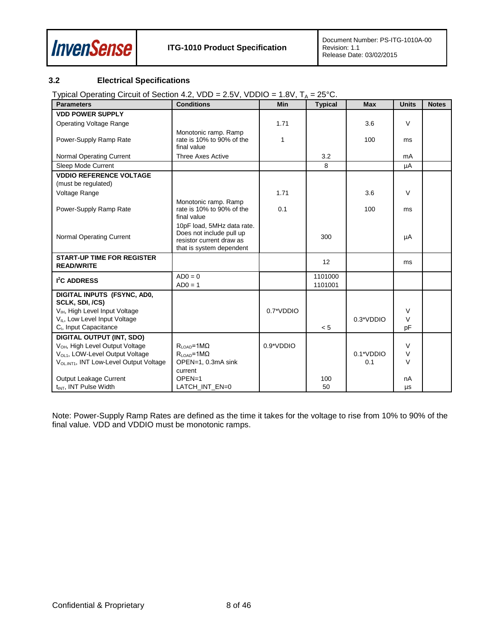

### <span id="page-7-0"></span>**3.2 Electrical Specifications**

Typical Operating Circuit of Section [4.2,](#page-13-0)  $VDD = 2.5V$ ,  $VDDIO = 1.8V$ ,  $T_A = 25°C$ .

| <b>Parameters</b>                                      | <b>Conditions</b>                                                                                              | Min           | <b>Typical</b>     | <b>Max</b>  | <b>Units</b> | <b>Notes</b> |
|--------------------------------------------------------|----------------------------------------------------------------------------------------------------------------|---------------|--------------------|-------------|--------------|--------------|
| <b>VDD POWER SUPPLY</b>                                |                                                                                                                |               |                    |             |              |              |
| <b>Operating Voltage Range</b>                         |                                                                                                                | 1.71          |                    | 3.6         | V            |              |
| Power-Supply Ramp Rate                                 | Monotonic ramp. Ramp<br>rate is 10% to 90% of the<br>final value                                               | 1             |                    | 100         | ms           |              |
| <b>Normal Operating Current</b>                        | <b>Three Axes Active</b>                                                                                       |               | 3.2                |             | mA           |              |
| Sleep Mode Current                                     |                                                                                                                |               | 8                  |             | μA           |              |
| <b>VDDIO REFERENCE VOLTAGE</b><br>(must be regulated)  |                                                                                                                |               |                    |             |              |              |
| Voltage Range                                          |                                                                                                                | 1.71          |                    | 3.6         | $\vee$       |              |
| Power-Supply Ramp Rate                                 | Monotonic ramp. Ramp<br>rate is 10% to 90% of the<br>final value                                               | 0.1           |                    | 100         | ms           |              |
| <b>Normal Operating Current</b>                        | 10pF load, 5MHz data rate.<br>Does not include pull up<br>resistor current draw as<br>that is system dependent |               | 300                |             | μA           |              |
| <b>START-UP TIME FOR REGISTER</b><br><b>READ/WRITE</b> |                                                                                                                |               | 12                 |             | ms           |              |
| <b>I<sup>2</sup>C ADDRESS</b>                          | $AD0 = 0$<br>$AD0 = 1$                                                                                         |               | 1101000<br>1101001 |             |              |              |
| DIGITAL INPUTS (FSYNC, AD0,<br>SCLK, SDI, /CS)         |                                                                                                                |               |                    |             |              |              |
| V <sub>IH</sub> , High Level Input Voltage             |                                                                                                                | $0.7^*$ VDDIO |                    |             | V            |              |
| V <sub>IL</sub> , Low Level Input Voltage              |                                                                                                                |               |                    | $0.3*VDDIO$ | $\vee$       |              |
| C <sub>1</sub> , Input Capacitance                     |                                                                                                                |               | < 5                |             | pF           |              |
| <b>DIGITAL OUTPUT (INT, SDO)</b>                       |                                                                                                                |               |                    |             |              |              |
| V <sub>OH</sub> , High Level Output Voltage            | $R_{\text{LOAD}} = 1 \text{M}\Omega$                                                                           | $0.9*VDDIO$   |                    |             | $\vee$       |              |
| V <sub>OL1</sub> , LOW-Level Output Voltage            | $R_{\text{LOAD}} = 1 \text{M}\Omega$                                                                           |               |                    | 0.1*VDDIO   | $\vee$       |              |
| VOLINT1, INT Low-Level Output Voltage                  | OPEN=1, 0.3mA sink                                                                                             |               |                    | 0.1         | $\vee$       |              |
|                                                        | current                                                                                                        |               |                    |             |              |              |
| Output Leakage Current                                 | $OPEN=1$                                                                                                       |               | 100                |             | nA           |              |
| t <sub>INT</sub> , INT Pulse Width                     | LATCH INT EN=0                                                                                                 |               | 50                 |             | μs           |              |

Note: Power-Supply Ramp Rates are defined as the time it takes for the voltage to rise from 10% to 90% of the final value. VDD and VDDIO must be monotonic ramps.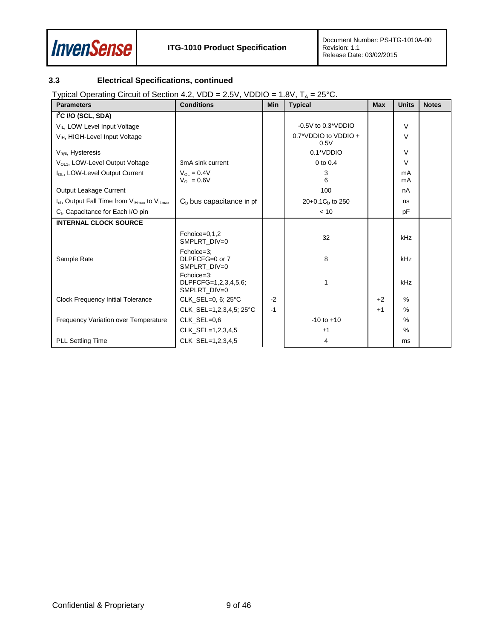

### <span id="page-8-0"></span>**3.3 Electrical Specifications, continued**

Typical Operating Circuit of Section [4.2,](#page-13-0)  $VDD = 2.5V$ ,  $VDDIO = 1.8V$ ,  $T_A = 25°C$ .

| <b>Parameters</b>                                         | <b>Conditions</b>                                  | <b>Min</b> | <b>Typical</b>               | <b>Max</b> | <b>Units</b>  | <b>Notes</b> |
|-----------------------------------------------------------|----------------------------------------------------|------------|------------------------------|------------|---------------|--------------|
| $I2C$ I/O (SCL, SDA)                                      |                                                    |            |                              |            |               |              |
| V <sub>IL</sub> , LOW Level Input Voltage                 |                                                    |            | $-0.5V$ to $0.3*VDDIO$       |            | $\vee$        |              |
| V <sub>IH</sub> , HIGH-Level Input Voltage                |                                                    |            | 0.7*VDDIO to VDDIO +<br>0.5V |            | $\vee$        |              |
| Vhys, Hysteresis                                          |                                                    |            | 0.1*VDDIO                    |            | $\vee$        |              |
| V <sub>OL1</sub> , LOW-Level Output Voltage               | 3mA sink current                                   |            | $0$ to $0.4$                 |            | $\vee$        |              |
| I <sub>OL</sub> , LOW-Level Output Current                | $V_{\Omega I} = 0.4V$<br>$V_{OL} = 0.6V$           |            | 3<br>6                       |            | mA<br>mA      |              |
| Output Leakage Current                                    |                                                    |            | 100                          |            | nA            |              |
| $t_{of}$ , Output Fall Time from $V_{Hmax}$ to $V_{Hmax}$ | $C_b$ bus capacitance in pf                        |            | 20+0.1C <sub>b</sub> to 250  |            | ns            |              |
| C <sub>1</sub> , Capacitance for Each I/O pin             |                                                    |            | < 10                         |            | pF            |              |
| <b>INTERNAL CLOCK SOURCE</b>                              |                                                    |            |                              |            |               |              |
|                                                           | Fchoice=0,1,2<br>SMPLRT DIV=0                      |            | 32                           |            | kHz           |              |
| Sample Rate                                               | Fchoice=3;<br>DLPFCFG=0 or 7<br>SMPLRT DIV=0       |            | 8                            |            | kHz           |              |
|                                                           | Fchoice=3:<br>DLPFCFG=1,2,3,4,5,6;<br>SMPLRT DIV=0 |            | 1                            |            | kHz           |              |
| <b>Clock Frequency Initial Tolerance</b>                  | CLK SEL=0, 6; 25°C                                 | $-2$       |                              | $+2$       | $\%$          |              |
|                                                           | CLK SEL=1,2,3,4,5; 25°C                            | $-1$       |                              | $+1$       | $\frac{0}{0}$ |              |
| <b>Frequency Variation over Temperature</b>               | CLK SEL=0,6                                        |            | $-10$ to $+10$               |            | $\frac{0}{0}$ |              |
|                                                           | CLK_SEL=1,2,3,4,5                                  |            | ±1                           |            | $\%$          |              |
| <b>PLL Settling Time</b>                                  | CLK SEL=1,2,3,4,5                                  |            | 4                            |            | ms            |              |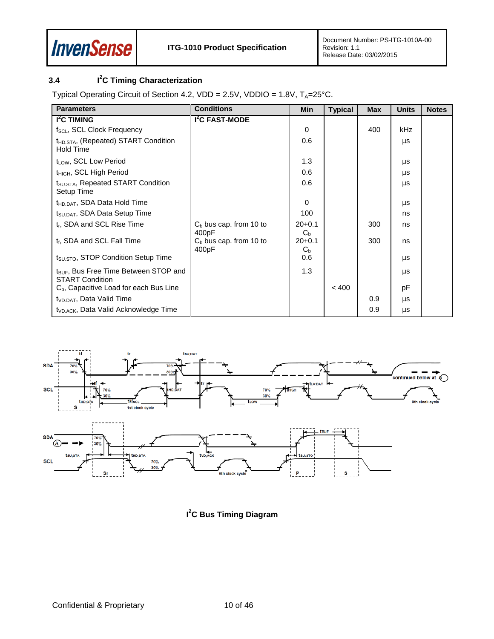

#### <span id="page-9-0"></span>**3.4 I 2 C Timing Characterization**

Typical Operating Circuit of Section [4.2,](#page-13-0) VDD =  $2.5V$ , VDDIO =  $1.8V$ , T<sub>A</sub>= $25^{\circ}$ C.

| <b>Parameters</b>                                                           | <b>Conditions</b>                  | Min                          | <b>Typical</b> | <b>Max</b> | <b>Units</b> | <b>Notes</b> |
|-----------------------------------------------------------------------------|------------------------------------|------------------------------|----------------|------------|--------------|--------------|
| I <sup>2</sup> C TIMING                                                     | I <sup>2</sup> C FAST-MODE         |                              |                |            |              |              |
| f <sub>SCL</sub> , SCL Clock Frequency                                      |                                    | 0                            |                | 400        | kHz          |              |
| t <sub>HD.STA</sub> , (Repeated) START Condition<br>Hold Time               |                                    | 0.6                          |                |            | μs           |              |
| t <sub>LOW</sub> , SCL Low Period                                           |                                    | 1.3                          |                |            | μs           |              |
| t <sub>HIGH</sub> , SCL High Period                                         |                                    | 0.6                          |                |            | μs           |              |
| t <sub>SU.STA</sub> , Repeated START Condition<br>Setup Time                |                                    | 0.6                          |                |            | μs           |              |
| t <sub>HD.DAT</sub> , SDA Data Hold Time                                    |                                    | $\Omega$                     |                |            | μs           |              |
| t <sub>SU.DAT</sub> , SDA Data Setup Time                                   |                                    | 100                          |                |            | ns           |              |
| t <sub>r</sub> , SDA and SCL Rise Time                                      | $C_b$ bus cap. from 10 to<br>400pF | $20+0.1$<br>$C_{b}$          |                | 300        | ns           |              |
| t <sub>f</sub> , SDA and SCL Fall Time                                      | $C_b$ bus cap. from 10 to<br>400pF | $20 + 0.1$<br>C <sub>b</sub> |                | 300        | ns           |              |
| $t_{\text{SU,STO}}$ , STOP Condition Setup Time                             |                                    | 0.6                          |                |            | μs           |              |
| t <sub>BUF</sub> , Bus Free Time Between STOP and<br><b>START Condition</b> |                                    | 1.3                          |                |            | μs           |              |
| C <sub>b</sub> , Capacitive Load for each Bus Line                          |                                    |                              | < 400          |            | pF           |              |
| t <sub>VD.DAT</sub> , Data Valid Time                                       |                                    |                              |                | 0.9        | μs           |              |
| t <sub>VD.ACK</sub> , Data Valid Acknowledge Time                           |                                    |                              |                | 0.9        | μs           |              |



**I 2 C Bus Timing Diagram**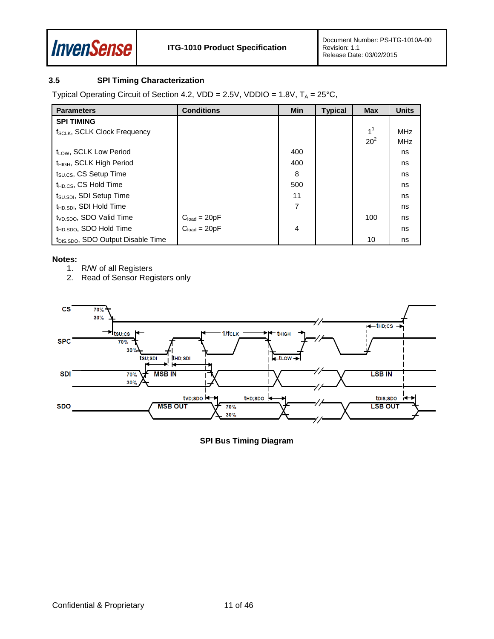

### <span id="page-10-0"></span>**3.5 SPI Timing Characterization**

Typical Operating Circuit of Section 4.2, VDD = 2.5V, VDDIO =  $1.8V$ ,  $T_A = 25^{\circ}C$ ,

| <b>Parameters</b>                              | <b>Conditions</b>                | <b>Min</b>     | <b>Typical</b> | <b>Max</b>     | <b>Units</b> |
|------------------------------------------------|----------------------------------|----------------|----------------|----------------|--------------|
| <b>SPI TIMING</b>                              |                                  |                |                |                |              |
| f <sub>SCLK</sub> , SCLK Clock Frequency       |                                  |                |                | 1 <sup>1</sup> | <b>MHz</b>   |
|                                                |                                  |                |                | $20^2$         | <b>MHz</b>   |
| $t_{IOM}$ , SCLK Low Period                    |                                  | 400            |                |                | ns           |
| t <sub>HIGH</sub> , SCLK High Period           |                                  | 400            |                |                | ns           |
| t <sub>SU.CS</sub> , CS Setup Time             |                                  | 8              |                |                | ns           |
| t <sub>HD.CS</sub> , CS Hold Time              |                                  | 500            |                |                | ns           |
| t <sub>SU.SDI</sub> , SDI Setup Time           |                                  | 11             |                |                | ns           |
| t <sub>HD.SDI</sub> , SDI Hold Time            |                                  | $\overline{7}$ |                |                | ns           |
| t <sub>VD.SDO</sub> , SDO Valid Time           |                                  |                |                | 100            | ns           |
| t <sub>HD.SDO</sub> , SDO Hold Time            | $Cload = 20pF$<br>$Cload = 20pF$ | 4              |                |                | ns           |
| t <sub>DIS.SDO</sub> , SDO Output Disable Time |                                  |                |                | 10             | ns           |

#### **Notes:**

- 1. R/W of all Registers
- 2. Read of Sensor Registers only



**SPI Bus Timing Diagram**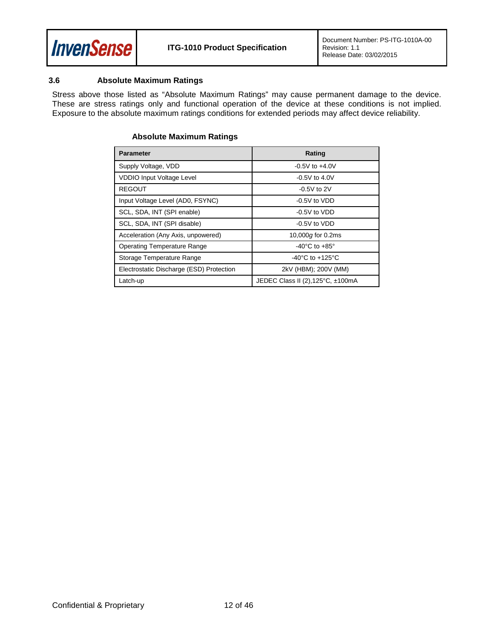

#### <span id="page-11-0"></span>**3.6 Absolute Maximum Ratings**

Stress above those listed as "Absolute Maximum Ratings" may cause permanent damage to the device. These are stress ratings only and functional operation of the device at these conditions is not implied. Exposure to the absolute maximum ratings conditions for extended periods may affect device reliability.

| <b>Parameter</b>                         | Rating                                |
|------------------------------------------|---------------------------------------|
| Supply Voltage, VDD                      | $-0.5V$ to $+4.0V$                    |
| <b>VDDIO Input Voltage Level</b>         | $-0.5V$ to 4.0V                       |
| <b>REGOUT</b>                            | $-0.5V$ to 2V                         |
| Input Voltage Level (AD0, FSYNC)         | $-0.5V$ to $VDD$                      |
| SCL, SDA, INT (SPI enable)               | $-0.5V$ to $VDD$                      |
| SCL, SDA, INT (SPI disable)              | $-0.5V$ to $VDD$                      |
| Acceleration (Any Axis, unpowered)       | 10,000g for 0.2ms                     |
| <b>Operating Temperature Range</b>       | -40 $^{\circ}$ C to +85 $^{\circ}$    |
| Storage Temperature Range                | -40 $^{\circ}$ C to +125 $^{\circ}$ C |
| Electrostatic Discharge (ESD) Protection | 2kV (HBM); 200V (MM)                  |
| Latch-up                                 | JEDEC Class II (2), 125°C, ±100mA     |

#### **Absolute Maximum Ratings**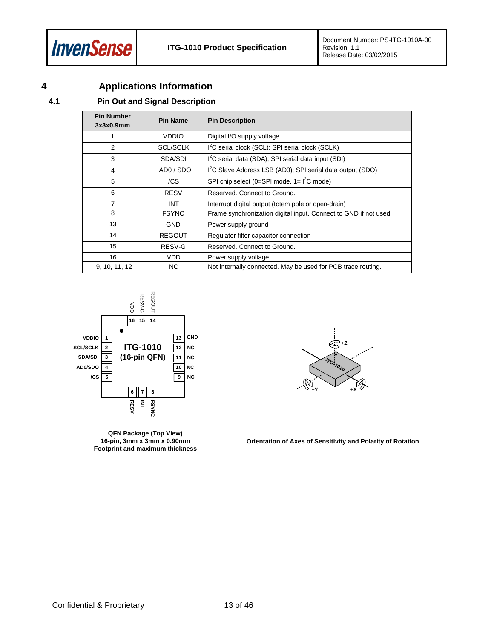

# <span id="page-12-0"></span>**4 Applications Information**

### <span id="page-12-1"></span>**4.1 Pin Out and Signal Description**

| <b>Pin Number</b><br>3x3x0.9mm | <b>Pin Name</b> | <b>Pin Description</b>                                                 |
|--------------------------------|-----------------|------------------------------------------------------------------------|
| 1                              | <b>VDDIO</b>    | Digital I/O supply voltage                                             |
| 2                              | <b>SCL/SCLK</b> | I <sup>2</sup> C serial clock (SCL); SPI serial clock (SCLK)           |
| 3                              | SDA/SDI         | I <sup>2</sup> C serial data (SDA); SPI serial data input (SDI)        |
| 4                              | ADO / SDO       | I <sup>2</sup> C Slave Address LSB (AD0); SPI serial data output (SDO) |
| 5                              | /CS             | SPI chip select (0=SPI mode, $1 = l^2C$ mode)                          |
| 6                              | <b>RESV</b>     | Reserved. Connect to Ground.                                           |
|                                | <b>INT</b>      | Interrupt digital output (totem pole or open-drain)                    |
| 8                              | <b>FSYNC</b>    | Frame synchronization digital input. Connect to GND if not used.       |
| 13                             | <b>GND</b>      | Power supply ground                                                    |
| 14                             | <b>REGOUT</b>   | Regulator filter capacitor connection                                  |
| 15                             | RESV-G          | Reserved. Connect to Ground.                                           |
| 16                             | VDD.            | Power supply voltage                                                   |
| 9, 10, 11, 12                  | ΝC              | Not internally connected. May be used for PCB trace routing.           |



**QFN Package (Top View) 16-pin, 3mm x 3mm x 0.90mm Footprint and maximum thickness**



**Orientation of Axes of Sensitivity and Polarity of Rotation**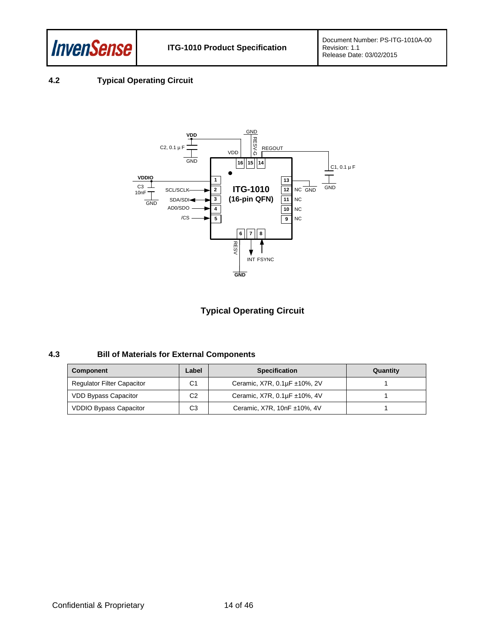

### <span id="page-13-0"></span>**4.2 Typical Operating Circuit**



### **Typical Operating Circuit**

#### <span id="page-13-1"></span>**4.3 Bill of Materials for External Components**

| Component                         | Label          | <b>Specification</b>         | Quantity |
|-----------------------------------|----------------|------------------------------|----------|
| <b>Regulator Filter Capacitor</b> | C1             | Ceramic, X7R, 0.1µF ±10%, 2V |          |
| <b>VDD Bypass Capacitor</b>       | C <sub>2</sub> | Ceramic, X7R, 0.1µF ±10%, 4V |          |
| <b>VDDIO Bypass Capacitor</b>     | C <sub>3</sub> | Ceramic, X7R, 10nF ±10%, 4V  |          |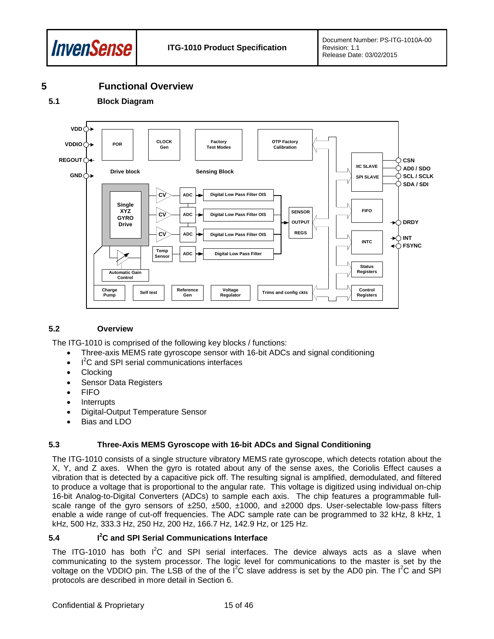

### <span id="page-14-0"></span>**5 Functional Overview**

<span id="page-14-1"></span>**5.1 Block Diagram**



#### <span id="page-14-2"></span>**5.2 Overview**

The ITG-1010 is comprised of the following key blocks / functions:

- Three-axis MEMS rate gyroscope sensor with 16-bit ADCs and signal conditioning
- $\cdot$  I<sup>2</sup>C and SPI serial communications interfaces
- **Clocking**
- Sensor Data Registers
- FIFO
- **Interrupts**
- Digital-Output Temperature Sensor
- Bias and LDO

#### <span id="page-14-3"></span>**5.3 Three-Axis MEMS Gyroscope with 16-bit ADCs and Signal Conditioning**

The ITG-1010 consists of a single structure vibratory MEMS rate gyroscope, which detects rotation about the X, Y, and Z axes. When the gyro is rotated about any of the sense axes, the Coriolis Effect causes a vibration that is detected by a capacitive pick off. The resulting signal is amplified, demodulated, and filtered to produce a voltage that is proportional to the angular rate. This voltage is digitized using individual on-chip 16-bit Analog-to-Digital Converters (ADCs) to sample each axis. The chip features a programmable fullscale range of the gyro sensors of ±250, ±500, ±1000, and ±2000 dps. User-selectable low-pass filters enable a wide range of cut-off frequencies. The ADC sample rate can be programmed to 32 kHz, 8 kHz, 1 kHz, 500 Hz, 333.3 Hz, 250 Hz, 200 Hz, 166.7 Hz, 142.9 Hz, or 125 Hz.

#### <span id="page-14-4"></span>**5.4 I 2 C and SPI Serial Communications Interface**

The ITG-1010 has both  $I^2C$  and SPI serial interfaces. The device always acts as a slave when communicating to the system processor. The logic level for communications to the master is set by the voltage on the VDDIO pin. The LSB of the of the  $I^2C$  slave address is set by the AD0 pin. The  $I^2C$  and SPI protocols are described in more detail in Section [6.](#page-16-0)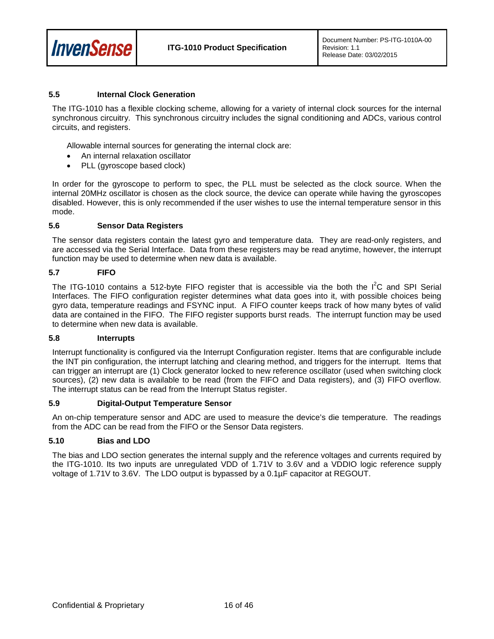

#### <span id="page-15-0"></span>**5.5 Internal Clock Generation**

The ITG-1010 has a flexible clocking scheme, allowing for a variety of internal clock sources for the internal synchronous circuitry. This synchronous circuitry includes the signal conditioning and ADCs, various control circuits, and registers.

Allowable internal sources for generating the internal clock are:

- An internal relaxation oscillator
- PLL (gyroscope based clock)

In order for the gyroscope to perform to spec, the PLL must be selected as the clock source. When the internal 20MHz oscillator is chosen as the clock source, the device can operate while having the gyroscopes disabled. However, this is only recommended if the user wishes to use the internal temperature sensor in this mode.

#### <span id="page-15-1"></span>**5.6 Sensor Data Registers**

The sensor data registers contain the latest gyro and temperature data. They are read-only registers, and are accessed via the Serial Interface. Data from these registers may be read anytime, however, the interrupt function may be used to determine when new data is available.

#### <span id="page-15-2"></span>**5.7 FIFO**

The ITG-1010 contains a 512-byte FIFO register that is accessible via the both the  $I^2C$  and SPI Serial Interfaces. The FIFO configuration register determines what data goes into it, with possible choices being gyro data, temperature readings and FSYNC input. A FIFO counter keeps track of how many bytes of valid data are contained in the FIFO. The FIFO register supports burst reads. The interrupt function may be used to determine when new data is available.

#### <span id="page-15-3"></span>**5.8 Interrupts**

Interrupt functionality is configured via the Interrupt Configuration register. Items that are configurable include the INT pin configuration, the interrupt latching and clearing method, and triggers for the interrupt. Items that can trigger an interrupt are (1) Clock generator locked to new reference oscillator (used when switching clock sources), (2) new data is available to be read (from the FIFO and Data registers), and (3) FIFO overflow. The interrupt status can be read from the Interrupt Status register.

#### <span id="page-15-4"></span>**5.9 Digital-Output Temperature Sensor**

An on-chip temperature sensor and ADC are used to measure the device's die temperature. The readings from the ADC can be read from the FIFO or the Sensor Data registers.

#### <span id="page-15-5"></span>**5.10 Bias and LDO**

The bias and LDO section generates the internal supply and the reference voltages and currents required by the ITG-1010. Its two inputs are unregulated VDD of 1.71V to 3.6V and a VDDIO logic reference supply voltage of 1.71V to 3.6V. The LDO output is bypassed by a 0.1µF capacitor at REGOUT.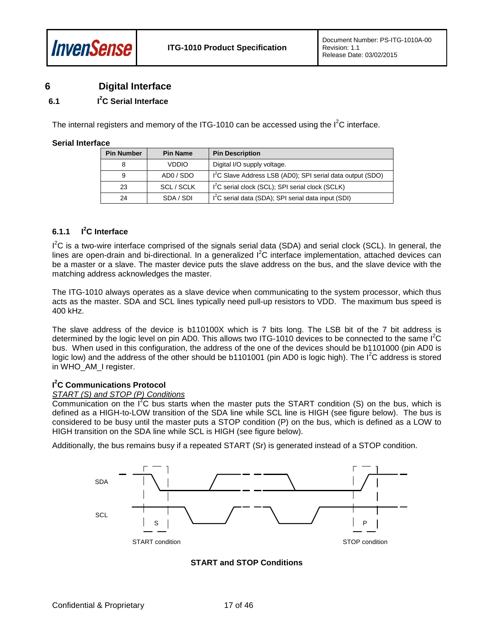### <span id="page-16-0"></span>**6 Digital Interface**

#### <span id="page-16-1"></span>**6.1 I 2 C Serial Interface**

The internal registers and memory of the ITG-1010 can be accessed using the  $I^2C$  interface.

#### **Serial Interface**

| <b>Pin Number</b> | <b>Pin Name</b> | <b>Pin Description</b>                                                 |
|-------------------|-----------------|------------------------------------------------------------------------|
| 8                 | <b>VDDIO</b>    | Digital I/O supply voltage.                                            |
| 9                 | ADO / SDO       | 1 <sup>2</sup> C Slave Address LSB (AD0); SPI serial data output (SDO) |
| 23                | SCL / SCLK      | $I2C$ serial clock (SCL); SPI serial clock (SCLK)                      |
| 24                | SDA / SDI       | I <sup>2</sup> C serial data (SDA); SPI serial data input (SDI)        |

#### **6.1.1 I 2 C Interface**

I<sup>2</sup>C is a two-wire interface comprised of the signals serial data (SDA) and serial clock (SCL). In general, the lines are open-drain and bi-directional. In a generalized  $l^2C$  interface implementation, attached devices can be a master or a slave. The master device puts the slave address on the bus, and the slave device with the matching address acknowledges the master.

The ITG-1010 always operates as a slave device when communicating to the system processor, which thus acts as the master. SDA and SCL lines typically need pull-up resistors to VDD. The maximum bus speed is 400 kHz.

The slave address of the device is b110100X which is 7 bits long. The LSB bit of the 7 bit address is determined by the logic level on pin AD0. This allows two ITG-1010 devices to be connected to the same  $I^2C$ bus. When used in this configuration, the address of the one of the devices should be b1101000 (pin AD0 is logic low) and the address of the other should be b1101001 (pin AD0 is logic high). The  $I^2C$  address is stored in WHO\_AM\_I register.

#### **I 2 C Communications Protocol**

#### *START (S) and STOP (P) Conditions*

Communication on the  $I<sup>2</sup>C$  bus starts when the master puts the START condition (S) on the bus, which is defined as a HIGH-to-LOW transition of the SDA line while SCL line is HIGH (see figure below). The bus is considered to be busy until the master puts a STOP condition (P) on the bus, which is defined as a LOW to HIGH transition on the SDA line while SCL is HIGH (see figure below).

Additionally, the bus remains busy if a repeated START (Sr) is generated instead of a STOP condition.



#### **START and STOP Conditions**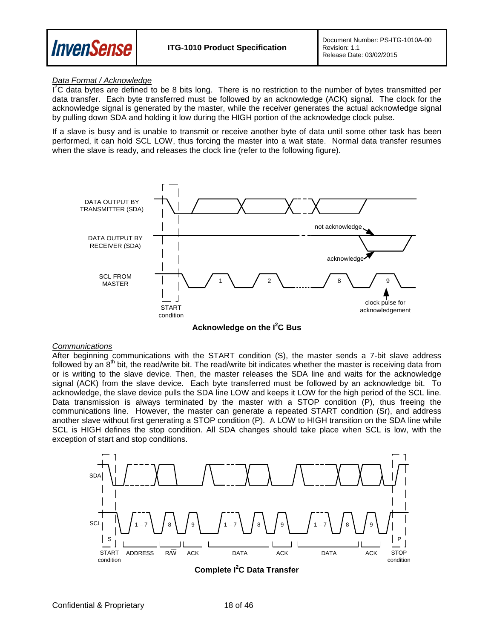

#### *Data Format / Acknowledge*

 $I^2C$  data bytes are defined to be 8 bits long. There is no restriction to the number of bytes transmitted per data transfer. Each byte transferred must be followed by an acknowledge (ACK) signal. The clock for the acknowledge signal is generated by the master, while the receiver generates the actual acknowledge signal by pulling down SDA and holding it low during the HIGH portion of the acknowledge clock pulse.

If a slave is busy and is unable to transmit or receive another byte of data until some other task has been performed, it can hold SCL LOW, thus forcing the master into a wait state. Normal data transfer resumes when the slave is ready, and releases the clock line (refer to the following figure).



**Acknowledge on the I2 C Bus**

#### *Communications*

After beginning communications with the START condition (S), the master sends a 7-bit slave address followed by an  $8<sup>th</sup>$  bit, the read/write bit. The read/write bit indicates whether the master is receiving data from or is writing to the slave device. Then, the master releases the SDA line and waits for the acknowledge signal (ACK) from the slave device. Each byte transferred must be followed by an acknowledge bit. To acknowledge, the slave device pulls the SDA line LOW and keeps it LOW for the high period of the SCL line. Data transmission is always terminated by the master with a STOP condition (P), thus freeing the communications line. However, the master can generate a repeated START condition (Sr), and address another slave without first generating a STOP condition (P). A LOW to HIGH transition on the SDA line while SCL is HIGH defines the stop condition. All SDA changes should take place when SCL is low, with the exception of start and stop conditions.



**Complete I2 C Data Transfer**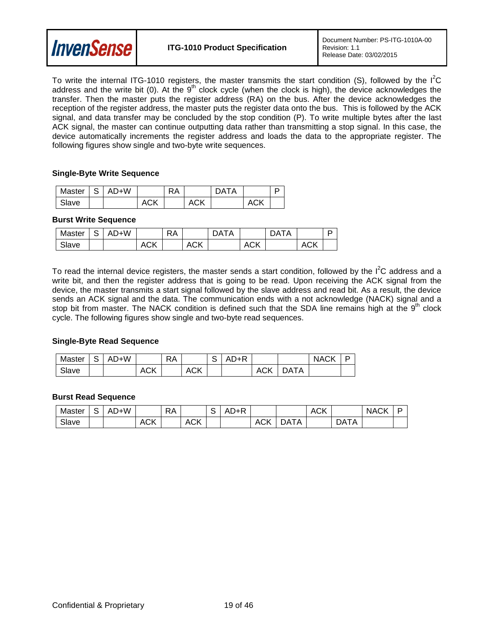

To write the internal ITG-1010 registers, the master transmits the start condition (S), followed by the  $I^2C$ address and the write bit (0). At the  $9<sup>th</sup>$  clock cycle (when the clock is high), the device acknowledges the transfer. Then the master puts the register address (RA) on the bus. After the device acknowledges the reception of the register address, the master puts the register data onto the bus. This is followed by the ACK signal, and data transfer may be concluded by the stop condition (P). To write multiple bytes after the last ACK signal, the master can continue outputting data rather than transmitting a stop signal. In this case, the device automatically increments the register address and loads the data to the appropriate register. The following figures show single and two-byte write sequences.

#### **Single-Byte Write Sequence**

| Master | $AD+W$ |     | RA |            | ATAר |            |  |
|--------|--------|-----|----|------------|------|------------|--|
| Slave  |        | ACK |    | <b>ACK</b> |      | <b>ACK</b> |  |

#### **Burst Write Sequence**

| Master | ت | )+W |            | RA |     | ТA<br>DA |            | ΙA<br>ìΑ |            | D |
|--------|---|-----|------------|----|-----|----------|------------|----------|------------|---|
| Slave  |   |     | <b>ACK</b> |    | ACK |          | <b>ACK</b> |          | <b>ACK</b> |   |

To read the internal device registers, the master sends a start condition, followed by the  $I^2C$  address and a write bit, and then the register address that is going to be read. Upon receiving the ACK signal from the device, the master transmits a start signal followed by the slave address and read bit. As a result, the device sends an ACK signal and the data. The communication ends with a not acknowledge (NACK) signal and a stop bit from master. The NACK condition is defined such that the SDA line remains high at the  $9<sup>th</sup>$  clock cycle. The following figures show single and two-byte read sequences.

#### **Single-Byte Read Sequence**

| Master | $\sim$<br>১ | )+W<br>AD |            | <b>RA</b> |            | $\sim$<br>ີ | A+R<br>ΑI |            |      | <b>NACK</b> | D |
|--------|-------------|-----------|------------|-----------|------------|-------------|-----------|------------|------|-------------|---|
| Slave  |             |           | <b>ACK</b> |           | <b>ACK</b> |             |           | <b>ACK</b> | ገATA |             |   |

#### **Burst Read Sequence**

| Master | ∽ | AD+W |                | <b>RA</b> |            | ັ | – A∟<br>$1 + F$ |     |          | $\sim$<br>ACK |              | <b>NACK</b> | - |
|--------|---|------|----------------|-----------|------------|---|-----------------|-----|----------|---------------|--------------|-------------|---|
| Slave  |   |      | $\sim$<br>ACN. |           | <b>ACK</b> |   |                 | ACK | TA<br>۱Δ |               | DATA<br>.I A |             |   |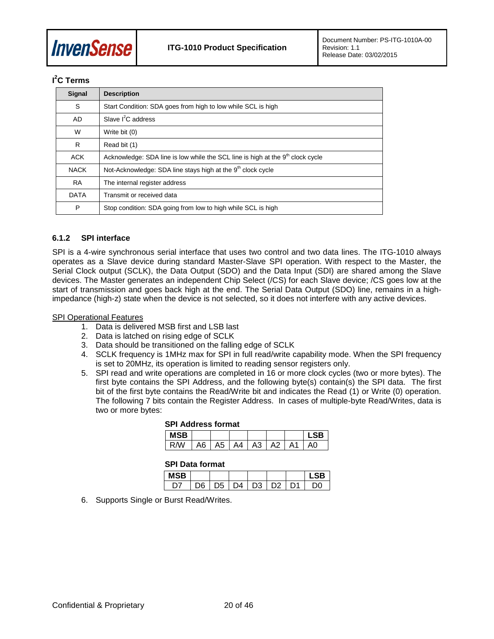

### **I 2 C Terms**

| <b>Signal</b> | <b>Description</b>                                                                         |
|---------------|--------------------------------------------------------------------------------------------|
| S             | Start Condition: SDA goes from high to low while SCL is high                               |
| AD            | Slave $I^2C$ address                                                                       |
| W             | Write bit (0)                                                                              |
| R             | Read bit (1)                                                                               |
| <b>ACK</b>    | Acknowledge: SDA line is low while the SCL line is high at the 9 <sup>th</sup> clock cycle |
| <b>NACK</b>   | Not-Acknowledge: SDA line stays high at the 9 <sup>th</sup> clock cycle                    |
| <b>RA</b>     | The internal register address                                                              |
| <b>DATA</b>   | Transmit or received data                                                                  |
| P             | Stop condition: SDA going from low to high while SCL is high                               |

#### **6.1.2 SPI interface**

SPI is a 4-wire synchronous serial interface that uses two control and two data lines. The ITG-1010 always operates as a Slave device during standard Master-Slave SPI operation. With respect to the Master, the Serial Clock output (SCLK), the Data Output (SDO) and the Data Input (SDI) are shared among the Slave devices. The Master generates an independent Chip Select (/CS) for each Slave device; /CS goes low at the start of transmission and goes back high at the end. The Serial Data Output (SDO) line, remains in a highimpedance (high-z) state when the device is not selected, so it does not interfere with any active devices.

#### SPI Operational Features

- 1. Data is delivered MSB first and LSB last
- 2. Data is latched on rising edge of SCLK
- 3. Data should be transitioned on the falling edge of SCLK
- 4. SCLK frequency is 1MHz max for SPI in full read/write capability mode. When the SPI frequency is set to 20MHz, its operation is limited to reading sensor registers only.
- 5. SPI read and write operations are completed in 16 or more clock cycles (two or more bytes). The first byte contains the SPI Address, and the following byte(s) contain(s) the SPI data. The first bit of the first byte contains the Read/Write bit and indicates the Read (1) or Write (0) operation. The following 7 bits contain the Register Address. In cases of multiple-byte Read/Writes, data is two or more bytes:

#### **SPI Address format**

| MSB<br>$\mathbf{I}$ |      |         |    |    |    | SR |
|---------------------|------|---------|----|----|----|----|
| R <sub>M</sub>      | A6 I | A5   A4 | A3 | А2 | А1 |    |

#### **SPI Data format**

| <b>MSB</b> |    |    |    |                |    | SR |
|------------|----|----|----|----------------|----|----|
|            | ۱ĸ | D5 | DÆ | D <sub>3</sub> | פח | ነበ |

6. Supports Single or Burst Read/Writes.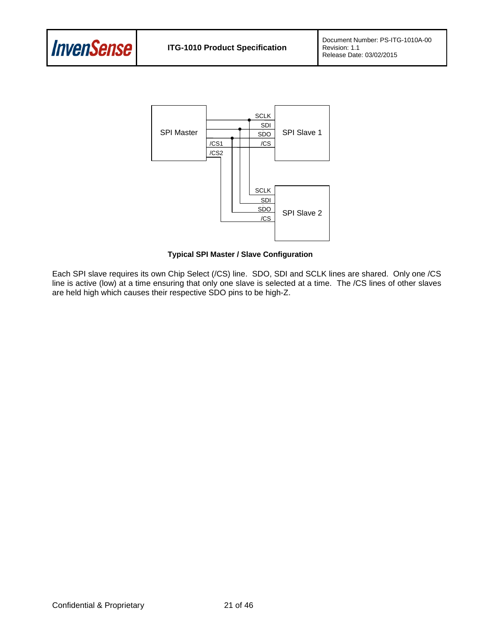



**Typical SPI Master / Slave Configuration**

Each SPI slave requires its own Chip Select (/CS) line. SDO, SDI and SCLK lines are shared. Only one /CS line is active (low) at a time ensuring that only one slave is selected at a time. The /CS lines of other slaves are held high which causes their respective SDO pins to be high-Z.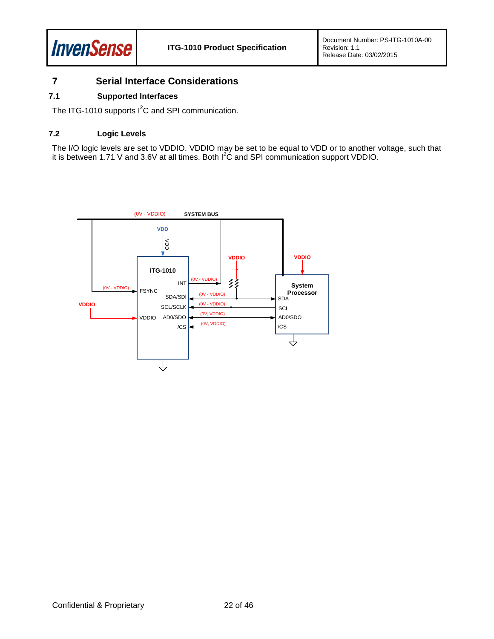

## <span id="page-21-0"></span>**7 Serial Interface Considerations**

#### <span id="page-21-1"></span>**7.1 Supported Interfaces**

The ITG-1010 supports  $I^2C$  and SPI communication.

#### <span id="page-21-2"></span>**7.2 Logic Levels**

The I/O logic levels are set to VDDIO. VDDIO may be set to be equal to VDD or to another voltage, such that it is between 1.71 V and 3.6V at all times. Both  $I^2\dot{C}$  and SPI communication support VDDIO.

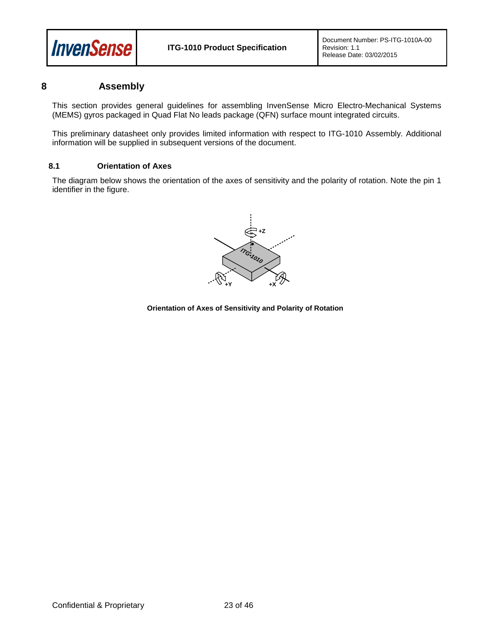

### <span id="page-22-0"></span>**8 Assembly**

This section provides general guidelines for assembling InvenSense Micro Electro-Mechanical Systems (MEMS) gyros packaged in Quad Flat No leads package (QFN) surface mount integrated circuits.

This preliminary datasheet only provides limited information with respect to ITG-1010 Assembly. Additional information will be supplied in subsequent versions of the document.

#### <span id="page-22-1"></span>**8.1 Orientation of Axes**

The diagram below shows the orientation of the axes of sensitivity and the polarity of rotation. Note the pin 1 identifier in the figure.



**Orientation of Axes of Sensitivity and Polarity of Rotation**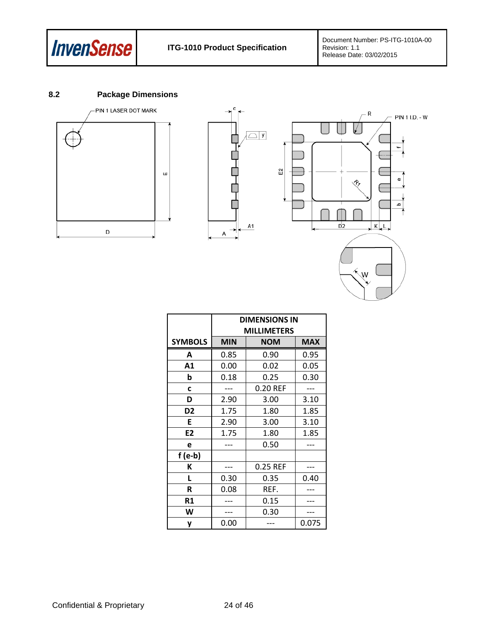

### <span id="page-23-0"></span>**8.2 Package Dimensions**







|                |            | <b>DIMENSIONS IN</b> |            |
|----------------|------------|----------------------|------------|
|                |            | <b>MILLIMETERS</b>   |            |
| <b>SYMBOLS</b> | <b>MIN</b> | <b>NOM</b>           | <b>MAX</b> |
| A              | 0.85       | 0.90                 | 0.95       |
| A1             | 0.00       | 0.02                 | 0.05       |
| b              | 0.18       | 0.25                 | 0.30       |
| C              |            | 0.20 REF             |            |
| D              | 2.90       | 3.00                 | 3.10       |
| D <sub>2</sub> | 1.75       | 1.80                 | 1.85       |
| E              | 2.90       | 3.00                 | 3.10       |
| E <sub>2</sub> | 1.75       | 1.80                 | 1.85       |
| e              |            | 0.50                 |            |
| $f(e-b)$       |            |                      |            |
| К              |            | 0.25 REF             |            |
| L              | 0.30       | 0.35                 | 0.40       |
| R              | 0.08       | REF.                 |            |
| R1             |            | 0.15                 |            |
| W              |            | 0.30                 |            |
| y              | 0.00       |                      | 0.075      |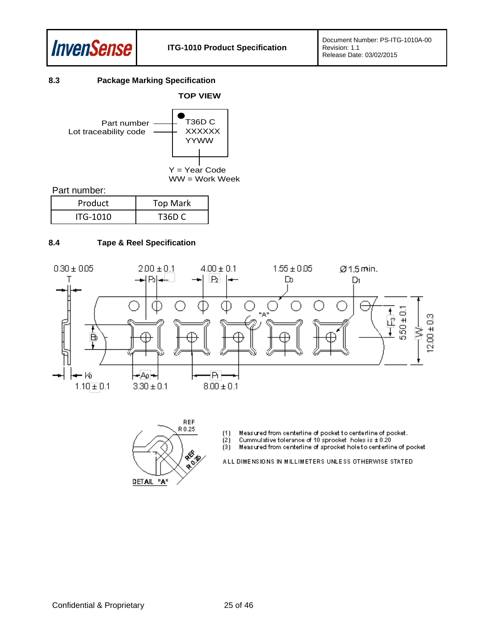

### <span id="page-24-0"></span>**8.3 Package Marking Specification**



Part number:

| Product  | <b>Top Mark</b> |
|----------|-----------------|
| ITG-1010 | T36D C          |

#### <span id="page-24-1"></span>**8.4 Tape & Reel Specification**





Measured from centerline of pocket to centerline of pocket.<br>Cummulative tolerance of 10 sprocket holes is  $\pm$  0.20  $(1)$ 

 $(2)$ 

 $(3)$ Measured from centerline of sprocket hole to centerline of pocket

ALL DIMENSIONS IN MILLIMETERS UNLESS OTHERWISE STATED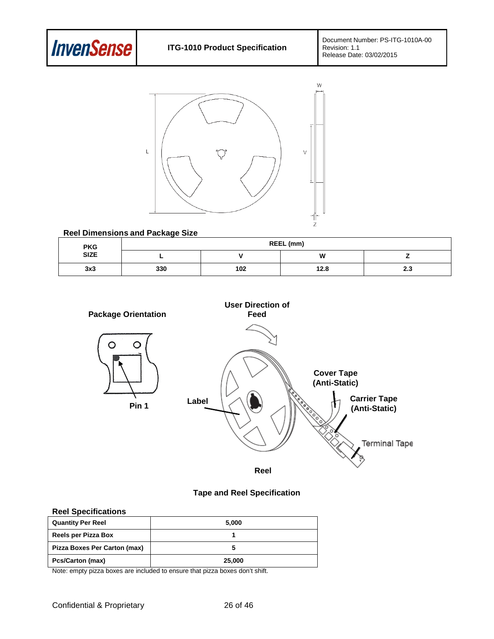



#### **Reel Dimensions and Package Size**

|                     |     | REEL (mm) |      |                  |  |  |  |  |
|---------------------|-----|-----------|------|------------------|--|--|--|--|
| <b>PKG<br/>SIZE</b> |     |           | W    |                  |  |  |  |  |
| 3x3                 | 330 | 102       | 12.8 | <b>00</b><br>د.ء |  |  |  |  |



#### **Tape and Reel Specification**

### **Reel Specifications**

| <b>Quantity Per Reel</b>     | 5,000  |
|------------------------------|--------|
| Reels per Pizza Box          |        |
| Pizza Boxes Per Carton (max) |        |
| <b>Pcs/Carton (max)</b>      | 25,000 |

Note: empty pizza boxes are included to ensure that pizza boxes don't shift.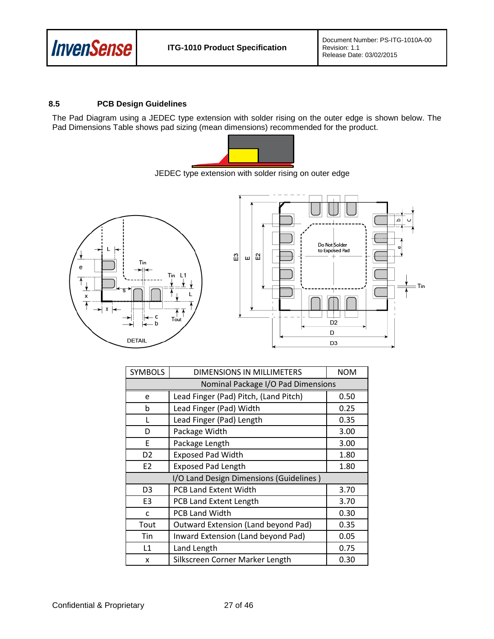

### <span id="page-26-0"></span>**8.5 PCB Design Guidelines**

The Pad Diagram using a JEDEC type extension with solder rising on the outer edge is shown below. The Pad Dimensions Table shows pad sizing (mean dimensions) recommended for the product.



JEDEC type extension with solder rising on outer edge



| <b>SYMBOLS</b> | DIMENSIONS IN MILLIMETERS               | <b>NOM</b> |
|----------------|-----------------------------------------|------------|
|                | Nominal Package I/O Pad Dimensions      |            |
| e              | Lead Finger (Pad) Pitch, (Land Pitch)   | 0.50       |
| b              | Lead Finger (Pad) Width                 | 0.25       |
| L              | Lead Finger (Pad) Length                | 0.35       |
| D              | Package Width                           | 3.00       |
| F              | Package Length                          | 3.00       |
| D <sub>2</sub> | <b>Exposed Pad Width</b>                | 1.80       |
| E <sub>2</sub> | <b>Exposed Pad Length</b>               | 1.80       |
|                | I/O Land Design Dimensions (Guidelines) |            |
| D <sub>3</sub> | <b>PCB Land Extent Width</b>            | 3.70       |
| E <sub>3</sub> | PCB Land Extent Length                  | 3.70       |
| C              | <b>PCB Land Width</b>                   | 0.30       |
| Tout           | Outward Extension (Land beyond Pad)     | 0.35       |
| Tin            | Inward Extension (Land beyond Pad)      | 0.05       |
| L1             | Land Length                             | 0.75       |
| x              | Silkscreen Corner Marker Length         | 0.30       |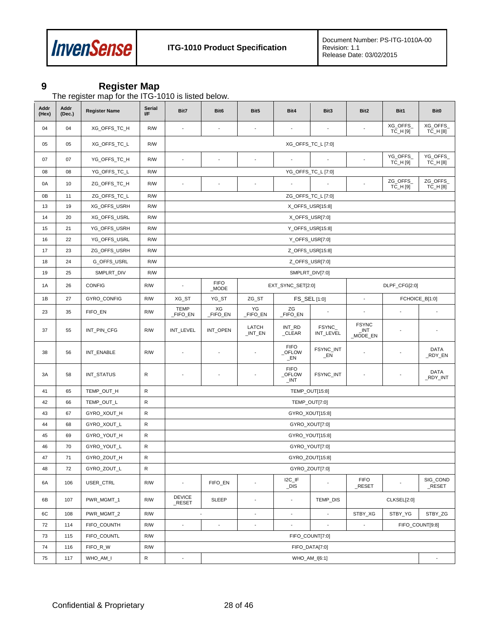

## <span id="page-27-0"></span>**9 Register Map**

The register map for the ITG-1010 is listed below.

| Addr<br>(Hex) | Addr<br>(Dec.) | <b>Register Name</b> | Serial<br>lΙF | Bit7                     | Bit <sub>6</sub>                                             | Bit5                     | Bit4                             | Bit3                     | Bit <sub>2</sub>                | Bit1                 | Bit0                    |
|---------------|----------------|----------------------|---------------|--------------------------|--------------------------------------------------------------|--------------------------|----------------------------------|--------------------------|---------------------------------|----------------------|-------------------------|
| 04            | 04             | XG_OFFS_TC_H         | R/W           | $\overline{\phantom{a}}$ | $\overline{\phantom{a}}$                                     | $\overline{\phantom{a}}$ | $\overline{\phantom{a}}$         | $\overline{\phantom{a}}$ |                                 | XG_OFFS_<br>TC_H [9] | XG_OFFS_<br>TC_H [8]    |
| 05            | 05             | XG_OFFS_TC_L         | R/W           |                          |                                                              |                          |                                  | XG_OFFS_TC_L [7:0]       |                                 |                      |                         |
| 07            | 07             | YG_OFFS_TC_H         | R/W           | $\overline{\phantom{a}}$ | $\overline{\phantom{a}}$                                     | $\overline{\phantom{a}}$ | $\sim$                           |                          | ÷                               | YG_OFFS_<br>TC_H [9] | YG_OFFS_<br>TC_H [8]    |
| 08            | 08             | YG_OFFS_TC_L         | R/W           |                          |                                                              |                          |                                  | YG_OFFS_TC_L [7:0]       |                                 |                      |                         |
| 0A            | 10             | ZG_OFFS_TC_H         | R/W           | $\overline{\phantom{a}}$ |                                                              | ÷,                       | $\overline{\phantom{a}}$         | $\overline{\phantom{a}}$ | $\overline{\phantom{a}}$        | ZG_OFFS_<br>TC_H [9] | ZG_OFFS_<br>TC_H [8]    |
| 0B            | 11             | ZG_OFFS_TC_L         | R/W           |                          |                                                              |                          |                                  | ZG_OFFS_TC_L [7:0]       |                                 |                      |                         |
| 13            | 19             | XG_OFFS_USRH         | R/W           |                          |                                                              |                          |                                  | X_OFFS_USR[15:8]         |                                 |                      |                         |
| 14            | 20             | XG_OFFS_USRL         | R/W           |                          |                                                              |                          |                                  | X_OFFS_USR[7:0]          |                                 |                      |                         |
| 15            | 21             | YG_OFFS_USRH         | R/W           |                          |                                                              |                          |                                  | Y_OFFS_USR[15:8]         |                                 |                      |                         |
| 16            | 22             | YG_OFFS_USRL         | R/W           |                          |                                                              |                          |                                  | Y_OFFS_USR[7:0]          |                                 |                      |                         |
| 17            | 23             | ZG_OFFS_USRH         | R/W           |                          |                                                              |                          |                                  | Z_OFFS_USR[15:8]         |                                 |                      |                         |
| 18            | 24             | G_OFFS_USRL          | R/W           |                          |                                                              |                          |                                  | Z_OFFS_USR[7:0]          |                                 |                      |                         |
| 19            | 25             | SMPLRT_DIV           | R/W           |                          | SMPLRT_DIV[7:0]                                              |                          |                                  |                          |                                 |                      |                         |
| 1A            | 26             | <b>CONFIG</b>        | R/W           | $\overline{\phantom{a}}$ | <b>FIFO</b><br>EXT_SYNC_SET[2:0]<br>DLPF_CFG[2:0]<br>$_MODE$ |                          |                                  |                          |                                 |                      |                         |
| 1B            | 27             | GYRO_CONFIG          | R/W           | XG_ST                    | YG_ST                                                        | ZG_ST                    |                                  | FS_SEL [1:0]             | $\overline{\phantom{a}}$        |                      | FCHOICE_B[1:0]          |
| 23            | 35             | FIFO_EN              | R/W           | <b>TEMP</b><br>_FIFO_EN  | XG<br>_FIFO_EN                                               | YG<br>FIFO_EN            | ZG<br>_FIFO_EN                   | $\overline{\phantom{a}}$ | $\blacksquare$                  | $\overline{a}$       |                         |
| 37            | 55             | INT_PIN_CFG          | R/W           | INT_LEVEL                | INT_OPEN                                                     | LATCH<br>$_lNT_FN$       | INT_RD<br>_CLEAR                 | FSYNC_<br>INT_LEVEL      | <b>FSYNC</b><br>INT<br>_MODE_EN |                      | ÷,                      |
| 38            | 56             | INT_ENABLE           | R/W           | $\overline{\phantom{a}}$ |                                                              | $\overline{\phantom{a}}$ | <b>FIFO</b><br>_OFLOW<br>$\_EN$  | FSYNC_INT<br>$\_EN$      | $\overline{\phantom{a}}$        |                      | <b>DATA</b><br>_RDY_EN  |
| 3A            | 58             | INT_STATUS           | R             |                          |                                                              | ÷,                       | <b>FIFO</b><br>_OFLOW<br>$\_INT$ | FSYNC_INT                | $\overline{\phantom{a}}$        |                      | <b>DATA</b><br>_RDY_INT |
| 41            | 65             | TEMP_OUT_H           | R             |                          |                                                              |                          |                                  | TEMP_OUT[15:8]           |                                 |                      |                         |
| 42            | 66             | TEMP_OUT_L           | R             |                          |                                                              |                          |                                  | TEMP_OUT[7:0]            |                                 |                      |                         |
| 43            | 67             | GYRO_XOUT_H          | R             |                          |                                                              |                          |                                  | GYRO_XOUT[15:8]          |                                 |                      |                         |
| 44            | 68             | GYRO_XOUT_L          | R             |                          |                                                              |                          |                                  | GYRO_XOUT[7:0]           |                                 |                      |                         |
| 45            | 69             | GYRO YOUT H          | R             |                          |                                                              |                          |                                  | GYRO_YOUT[15:8]          |                                 |                      |                         |
| 46            | 70             | GYRO_YOUT_L          | R             |                          |                                                              |                          |                                  | GYRO_YOUT[7:0]           |                                 |                      |                         |
| 47            | 71             | GYRO_ZOUT_H          | R             |                          |                                                              |                          |                                  | GYRO_ZOUT[15:8]          |                                 |                      |                         |
| 48            | 72             | GYRO_ZOUT_L          | R             |                          |                                                              |                          |                                  | GYRO_ZOUT[7:0]           |                                 |                      |                         |
| 6A            | 106            | USER_CTRL            | R/W           | $\overline{\phantom{a}}$ | FIFO_EN                                                      | $\overline{\phantom{a}}$ | I2C_IF<br>$\_DIS$                | $\overline{\phantom{a}}$ | <b>FIFO</b><br>$\_$ RESET       |                      | SIG_COND<br>$\_$ RESET  |
| 6B            | 107            | PWR_MGMT_1           | R/W           | <b>DEVICE</b><br>_RESET  | <b>SLEEP</b>                                                 | $\overline{\phantom{a}}$ | $\overline{\phantom{a}}$         | TEMP_DIS                 |                                 | CLKSEL[2:0]          |                         |
| 6C            | 108            | PWR_MGMT_2           | R/W           |                          |                                                              | $\blacksquare$           | ÷,                               |                          | STBY_XG                         | STBY_YG              | STBY ZG                 |
| 72            | 114            | FIFO_COUNTH          | R/W           | $\overline{\phantom{a}}$ | $\overline{\phantom{a}}$                                     | $\overline{\phantom{a}}$ | $\overline{\phantom{a}}$         | $\overline{\phantom{a}}$ | $\overline{\phantom{a}}$        |                      | FIFO COUNT[9:8]         |
| 73            | 115            | FIFO_COUNTL          | R/W           | FIFO COUNT[7:0]          |                                                              |                          |                                  |                          |                                 |                      |                         |
| 74            | 116            | FIFO_R_W             | R/W           |                          |                                                              |                          |                                  | FIFO_DATA[7:0]           |                                 |                      |                         |
| 75            | 117            | WHO AM I             | R             | $\blacksquare$           |                                                              |                          |                                  | WHO_AM_I[6:1]            |                                 |                      | ÷,                      |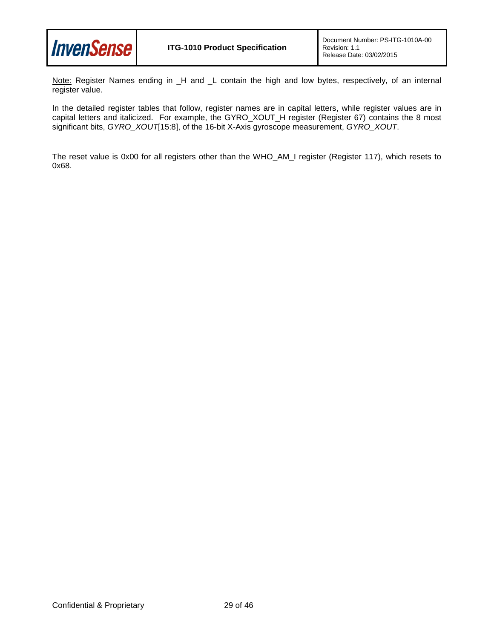

Note: Register Names ending in \_H and \_L contain the high and low bytes, respectively, of an internal register value.

In the detailed register tables that follow, register names are in capital letters, while register values are in capital letters and italicized. For example, the GYRO\_XOUT\_H register (Register 67) contains the 8 most significant bits, *GYRO\_XOUT*[15:8], of the 16-bit X-Axis gyroscope measurement, *GYRO\_XOUT*.

The reset value is 0x00 for all registers other than the WHO\_AM\_I register (Register 117), which resets to 0x68.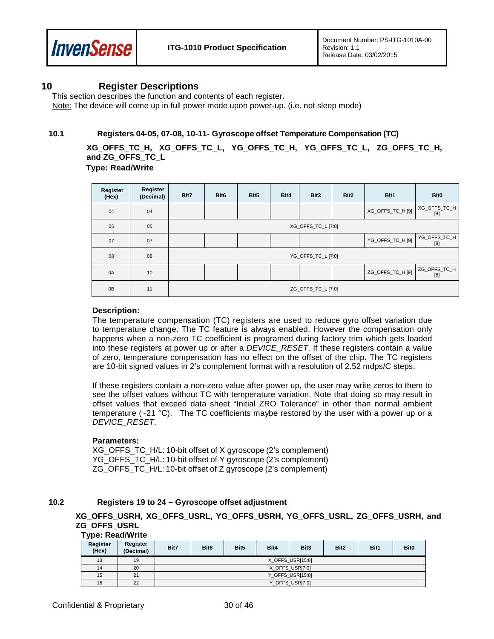

### <span id="page-29-0"></span>**10 Register Descriptions**

This section describes the function and contents of each register. Note: The device will come up in full power mode upon power-up. (i.e. not sleep mode)

#### <span id="page-29-1"></span>**10.1 Registers 04-05, 07-08, 10-11- Gyroscope offset Temperature Compensation (TC)**

**XG\_OFFS\_TC\_H, XG\_OFFS\_TC\_L, YG\_OFFS\_TC\_H, YG\_OFFS\_TC\_L, ZG\_OFFS\_TC\_H, and ZG\_OFFS\_TC\_L** 

 **Type: Read/Write**

| Register<br>(Hex) | Register<br>(Decimal) | Bit7               | Bit <sub>6</sub>   | Bit5 | Bit4 | Bit3 | Bit2 | Bit1             | Bit <sub>0</sub>    |  |
|-------------------|-----------------------|--------------------|--------------------|------|------|------|------|------------------|---------------------|--|
| 04                | 04                    |                    |                    |      |      |      |      | XG_OFFS_TC_H [9] | XG_OFFS_TC_H<br>[8] |  |
| 05                | 05                    |                    | XG_OFFS_TC_L [7:0] |      |      |      |      |                  |                     |  |
| 07                | 07                    |                    |                    |      |      |      |      | YG_OFFS_TC_H [9] | YG_OFFS_TC_H<br>[8] |  |
| 08                | 08                    |                    | YG_OFFS_TC_L [7:0] |      |      |      |      |                  |                     |  |
| 0A                | 10                    |                    |                    |      |      |      |      | ZG_OFFS_TC_H [9] | ZG_OFFS_TC_H<br>[8] |  |
| 0B                | 11                    | ZG_OFFS_TC_L [7:0] |                    |      |      |      |      |                  |                     |  |

#### **Description:**

The temperature compensation (TC) registers are used to reduce gyro offset variation due to temperature change. The TC feature is always enabled. However the compensation only happens when a non-zero TC coefficient is programed during factory trim which gets loaded into these registers at power up or after a *DEVICE\_RESET*. If these registers contain a value of zero, temperature compensation has no effect on the offset of the chip. The TC registers are 10-bit signed values in 2's complement format with a resolution of 2.52 mdps/C steps.

If these registers contain a non-zero value after power up, the user may write zeros to them to see the offset values without TC with temperature variation. Note that doing so may result in offset values that exceed data sheet "Initial ZRO Tolerance" in other than normal ambient temperature  $(-21 \text{ °C})$ . The TC coefficients maybe restored by the user with a power up or a *DEVICE\_RESET*.

#### **Parameters:**

XG OFFS TC H/L: 10-bit offset of X gyroscope (2's complement) YG\_OFFS\_TC\_H/L: 10-bit offset of Y gyroscope (2's complement) ZG\_OFFS\_TC\_H/L: 10-bit offset of Z gyroscope (2's complement)

### <span id="page-29-2"></span>**10.2 Registers 19 to 24 – Gyroscope offset adjustment**

**XG\_OFFS\_USRH, XG\_OFFS\_USRL, YG\_OFFS\_USRH, YG\_OFFS\_USRL, ZG\_OFFS\_USRH, and ZG\_OFFS\_USRL** 

#### **Type: Read/Write**

| - -<br>Register<br>(Hex) | Register<br>(Decimal) | Bit7            | Bit <sub>6</sub> | Bit <sub>5</sub> | Bit4 | Bit3            | Bit2 | Bit1 | <b>Bit0</b> |
|--------------------------|-----------------------|-----------------|------------------|------------------|------|-----------------|------|------|-------------|
| 13                       | 19                    |                 | X OFFS USR[15:8] |                  |      |                 |      |      |             |
| 14                       | 20                    |                 |                  |                  |      | X OFFS USR[7:0] |      |      |             |
| 15                       | 21                    |                 | Y_OFFS_USR[15:8] |                  |      |                 |      |      |             |
| 16                       | 22                    | Y OFFS USR[7:0] |                  |                  |      |                 |      |      |             |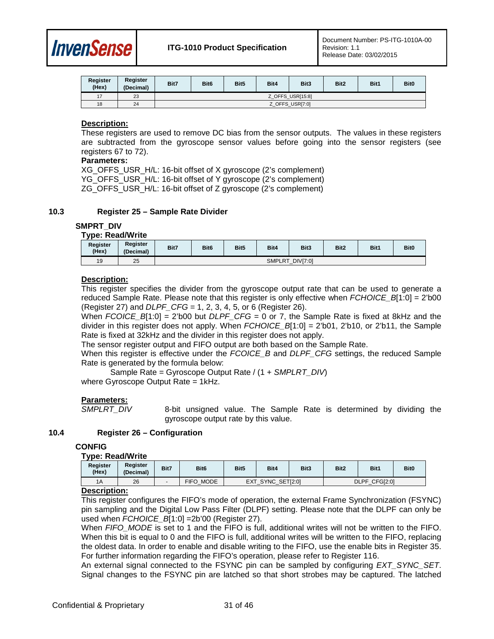

| Register<br>(Hex) | Register<br>(Decimal) | Bit7            | Bit <sub>6</sub> | Bit <sub>5</sub> | Bit4 | Bit3 | Bit2 | Bit1 | Bit <sub>0</sub> |
|-------------------|-----------------------|-----------------|------------------|------------------|------|------|------|------|------------------|
| 17                | 23                    |                 | Z OFFS USR[15:8] |                  |      |      |      |      |                  |
| 18                | 24                    | Z OFFS USR[7:0] |                  |                  |      |      |      |      |                  |

### **Description:**

These registers are used to remove DC bias from the sensor outputs. The values in these registers are subtracted from the gyroscope sensor values before going into the sensor registers (see registers 67 to 72).

#### **Parameters:**

XG OFFS USR H/L: 16-bit offset of X gyroscope (2's complement) YG\_OFFS\_USR\_H/L: 16-bit offset of Y gyroscope (2's complement) ZG\_OFFS\_USR\_H/L: 16-bit offset of Z gyroscope (2's complement)

#### <span id="page-30-0"></span>**10.3 Register 25 – Sample Rate Divider**

#### **SMPRT\_DIV**

### **Type: Read/Write**

| Register<br>(Hex) | Register<br>(Decimal) | Bit7                             | Bit <sub>6</sub> | Bit5 | Bit4 | Bit <sub>3</sub> | Bit <sub>2</sub> | Bit1 | Bit <sub>0</sub> |
|-------------------|-----------------------|----------------------------------|------------------|------|------|------------------|------------------|------|------------------|
| 19                | 25                    | <b>DIVI7:01</b><br><b>SMPLRT</b> |                  |      |      |                  |                  |      |                  |

#### **Description:**

This register specifies the divider from the gyroscope output rate that can be used to generate a reduced Sample Rate. Please note that this register is only effective when *FCHOICE\_B*[1:0] = 2'b00 (Register 27) and *DLPF\_CFG* = 1, 2, 3, 4, 5, or 6 (Register 26).

When *FCOICE\_B*[1:0] = 2'b00 but *DLPF\_CFG* = 0 or 7, the Sample Rate is fixed at 8kHz and the divider in this register does not apply. When *FCHOICE\_B*[1:0] = 2'b01, 2'b10, or 2'b11, the Sample Rate is fixed at 32kHz and the divider in this register does not apply.

The sensor register output and FIFO output are both based on the Sample Rate.

When this register is effective under the *FCOICE* B and *DLPF* CFG settings, the reduced Sample Rate is generated by the formula below:

Sample Rate = Gyroscope Output Rate / (1 + *SMPLRT\_DIV*) where Gyroscope Output Rate = 1kHz.

# **Parameters:**

8-bit unsigned value. The Sample Rate is determined by dividing the gyroscope output rate by this value.

#### <span id="page-30-1"></span>**10.4 Register 26 – Configuration**

#### **CONFIG**

#### **Type: Read/Write**

| Register<br>(Hex) | Register<br>(Decimal) | Bit7 | Bit <sub>6</sub> | Bit <sub>5</sub>  | Bit4 | Bit3 | Bit <sub>2</sub> | Bit1 | Bit <sub>0</sub> |
|-------------------|-----------------------|------|------------------|-------------------|------|------|------------------|------|------------------|
| 1A                | 26                    |      | FIFO MODE        | EXT SYNC SET[2:0] |      |      | DLPF CFG[2:0]    |      |                  |

#### **Description:**

This register configures the FIFO's mode of operation, the external Frame Synchronization (FSYNC) pin sampling and the Digital Low Pass Filter (DLPF) setting. Please note that the DLPF can only be used when *FCHOICE*  $B[1:0] = 2b'00$  (Register 27).

When *FIFO\_MODE* is set to 1 and the FIFO is full, additional writes will not be written to the FIFO. When this bit is equal to 0 and the FIFO is full, additional writes will be written to the FIFO, replacing the oldest data. In order to enable and disable writing to the FIFO, use the enable bits in Register 35. For further information regarding the FIFO's operation, please refer to Register 116.

An external signal connected to the FSYNC pin can be sampled by configuring *EXT\_SYNC\_SET*. Signal changes to the FSYNC pin are latched so that short strobes may be captured. The latched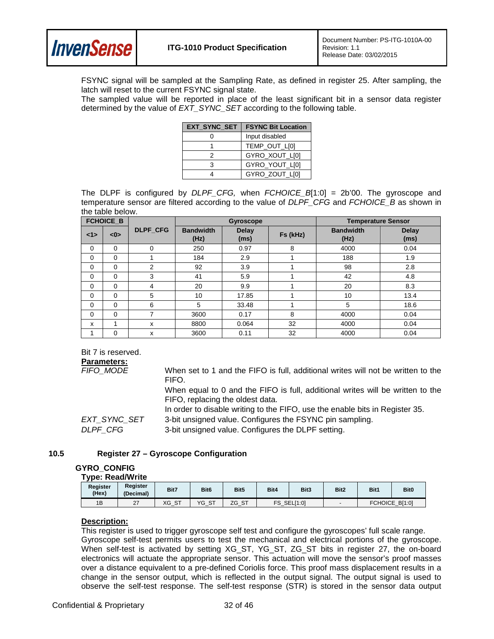

FSYNC signal will be sampled at the Sampling Rate, as defined in register 25. After sampling, the latch will reset to the current FSYNC signal state.

The sampled value will be reported in place of the least significant bit in a sensor data register determined by the value of *EXT\_SYNC\_SET* according to the following table.

| EXT_SYNC_SET | <b>FSYNC Bit Location</b> |
|--------------|---------------------------|
|              | Input disabled            |
|              | TEMP OUT LI01             |
|              | GYRO_XOUT_L[0]            |
|              | GYRO YOUT LI01            |
|              | GYRO_ZOUT_L[0]            |

The DLPF is configured by *DLPF\_CFG,* when *FCHOICE\_B*[1:0] = 2b'00. The gyroscope and temperature sensor are filtered according to the value of *DLPF\_CFG* and *FCHOICE\_B* as shown in the table below.

|             | <b>FCHOICE B</b> |                 |                          | <b>Gyroscope</b>     |          | <b>Temperature Sensor</b> |                      |  |
|-------------|------------------|-----------------|--------------------------|----------------------|----------|---------------------------|----------------------|--|
| <1>         | < 0              | <b>DLPF CFG</b> | <b>Bandwidth</b><br>(Hz) | <b>Delay</b><br>(ms) | Fs (kHz) | <b>Bandwidth</b><br>(Hz)  | <b>Delay</b><br>(ms) |  |
| 0           | $\Omega$         | $\mathbf 0$     | 250                      | 0.97                 | 8        | 4000                      | 0.04                 |  |
| 0           | $\Omega$         |                 | 184                      | 2.9                  |          | 188                       | 1.9                  |  |
| 0           | $\Omega$         | 2               | 92                       | 3.9                  |          | 98                        | 2.8                  |  |
| $\Omega$    | $\Omega$         | 3               | 41                       | 5.9                  |          | 42                        | 4.8                  |  |
| $\Omega$    | $\Omega$         | 4               | 20                       | 9.9                  |          | 20                        | 8.3                  |  |
| $\Omega$    | $\Omega$         | 5               | 10                       | 17.85                |          | 10                        | 13.4                 |  |
| $\Omega$    | $\Omega$         | 6               | 5                        | 33.48                |          | 5                         | 18.6                 |  |
| $\mathbf 0$ | $\Omega$         | 7               | 3600                     | 0.17                 | 8        | 4000                      | 0.04                 |  |
| x           | 1                | X               | 8800                     | 0.064                | 32       | 4000                      | 0.04                 |  |
|             | $\Omega$         | x               | 3600                     | 0.11                 | 32       | 4000                      | 0.04                 |  |

Bit 7 is reserved.

#### **Parameters:**

| FIFO MODE    | When set to 1 and the FIFO is full, additional writes will not be written to the<br>FIFO.                          |
|--------------|--------------------------------------------------------------------------------------------------------------------|
|              | When equal to 0 and the FIFO is full, additional writes will be written to the<br>FIFO, replacing the oldest data. |
|              | In order to disable writing to the FIFO, use the enable bits in Register 35.                                       |
| EXT SYNC SET | 3-bit unsigned value. Configures the FSYNC pin sampling.                                                           |
| DLPF CFG     | 3-bit unsigned value. Configures the DLPF setting.                                                                 |
|              |                                                                                                                    |

#### <span id="page-31-0"></span>**10.5 Register 27 – Gyroscope Configuration**

#### **GYRO\_CONFIG**

#### **Type: Read/Write**

| Register<br>(Hex) | Register<br>(Decimal) | Bit7  | Bit <sub>6</sub> | Bit <sub>5</sub> | Bit4           | Bit3 | Bit2 | Bit1           | Bit <sub>0</sub> |
|-------------------|-----------------------|-------|------------------|------------------|----------------|------|------|----------------|------------------|
| 1B                | ^7<br><u>_ 1</u>      | XG_ST | YG_ST            | $\sim$<br>ZG_ST  | SEL[1:0]<br>FS |      |      | <b>FCHOICE</b> | B[1:0]           |

#### **Description:**

This register is used to trigger gyroscope self test and configure the gyroscopes' full scale range. Gyroscope self-test permits users to test the mechanical and electrical portions of the gyroscope. When self-test is activated by setting XG\_ST, YG\_ST, ZG\_ST bits in register 27, the on-board electronics will actuate the appropriate sensor. This actuation will move the sensor's proof masses over a distance equivalent to a pre-defined Coriolis force. This proof mass displacement results in a change in the sensor output, which is reflected in the output signal. The output signal is used to observe the self-test response. The self-test response (STR) is stored in the sensor data output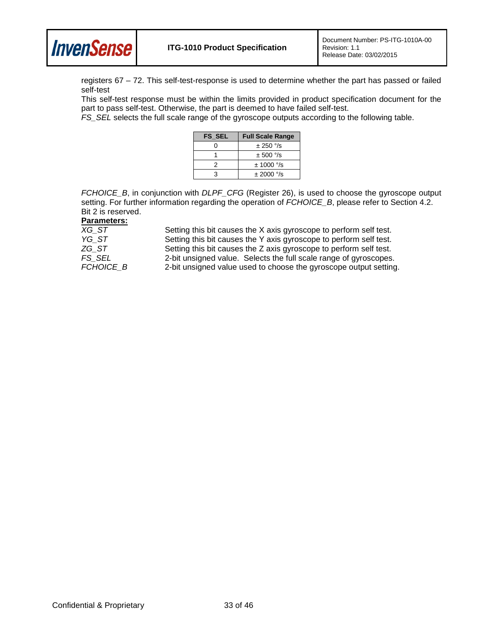

registers 67 – 72. This self-test-response is used to determine whether the part has passed or failed self-test

This self-test response must be within the limits provided in product specification document for the part to pass self-test. Otherwise, the part is deemed to have failed self-test.

*FS\_SEL* selects the full scale range of the gyroscope outputs according to the following table.

| <b>FS SEL</b> | <b>Full Scale Range</b> |
|---------------|-------------------------|
| ი             | $\pm 250$ °/s           |
|               | $\pm$ 500 $\degree$ /s  |
|               | $± 1000$ °/s            |
| ٩             | $\pm 2000$ °/s          |

*FCHOICE\_B*, in conjunction with *DLPF\_CFG* (Register 26), is used to choose the gyroscope output setting. For further information regarding the operation of *FCHOICE\_B*, please refer to Section 4.2. Bit 2 is reserved.

| XG ST     | Setting this bit causes the X axis gyroscope to perform self test. |
|-----------|--------------------------------------------------------------------|
| YG ST     | Setting this bit causes the Y axis gyroscope to perform self test. |
| ZG ST     | Setting this bit causes the Z axis gyroscope to perform self test. |
| FS SEL    | 2-bit unsigned value. Selects the full scale range of gyroscopes.  |
| FCHOICE B | 2-bit unsigned value used to choose the gyroscope output setting.  |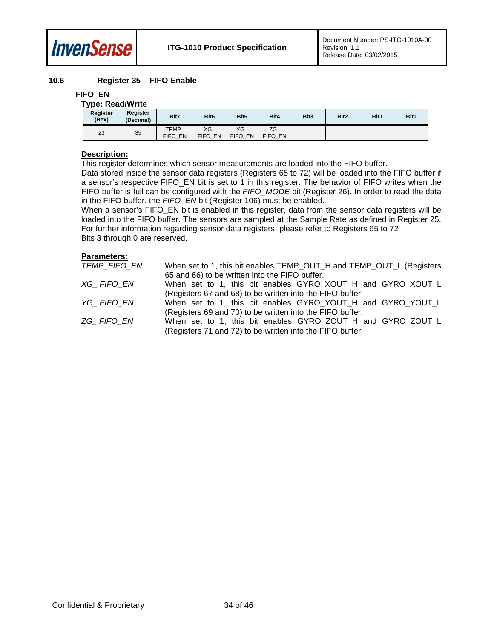

#### <span id="page-33-0"></span>**10.6 Register 35 – FIFO Enable**

#### **FIFO\_EN**

| <b>Type: Read/Write</b> |                       |                 |                  |                  |               |        |                  |        |             |  |
|-------------------------|-----------------------|-----------------|------------------|------------------|---------------|--------|------------------|--------|-------------|--|
| Register<br>(Hex)       | Register<br>(Decimal) | Bit7            | Bit <sub>6</sub> | Bit <sub>5</sub> | Bit4          | Bit3   | Bit <sub>2</sub> | Bit1   | <b>Bit0</b> |  |
| 23                      | 35                    | TEMP<br>FIFO EN | XG<br>FIFO EN    | VG<br>FIFO EN    | ZG<br>FIFO EN | $\sim$ |                  | $\sim$ |             |  |

#### **Description:**

This register determines which sensor measurements are loaded into the FIFO buffer.

Data stored inside the sensor data registers (Registers 65 to 72) will be loaded into the FIFO buffer if a sensor's respective FIFO\_EN bit is set to 1 in this register. The behavior of FIFO writes when the FIFO buffer is full can be configured with the *FIFO\_MODE* bit (Register 26). In order to read the data in the FIFO buffer, the *FIFO\_EN* bit (Register 106) must be enabled.

When a sensor's FIFO\_EN bit is enabled in this register, data from the sensor data registers will be loaded into the FIFO buffer. The sensors are sampled at the Sample Rate as defined in Register 25. For further information regarding sensor data registers, please refer to Registers 65 to 72 Bits 3 through 0 are reserved.

| TEMP FIFO EN | When set to 1, this bit enables TEMP_OUT_H and TEMP_OUT_L (Registers |
|--------------|----------------------------------------------------------------------|
|              | 65 and 66) to be written into the FIFO buffer.                       |
| XG FIFO EN   | When set to 1, this bit enables GYRO_XOUT_H and GYRO_XOUT_L          |
|              | (Registers 67 and 68) to be written into the FIFO buffer.            |
| YG FIFO EN   | When set to 1, this bit enables GYRO_YOUT_H and GYRO_YOUT_L          |
|              | (Registers 69 and 70) to be written into the FIFO buffer.            |
| ZG FIFO EN   | When set to 1, this bit enables GYRO_ZOUT_H and GYRO_ZOUT_L          |
|              | (Registers 71 and 72) to be written into the FIFO buffer.            |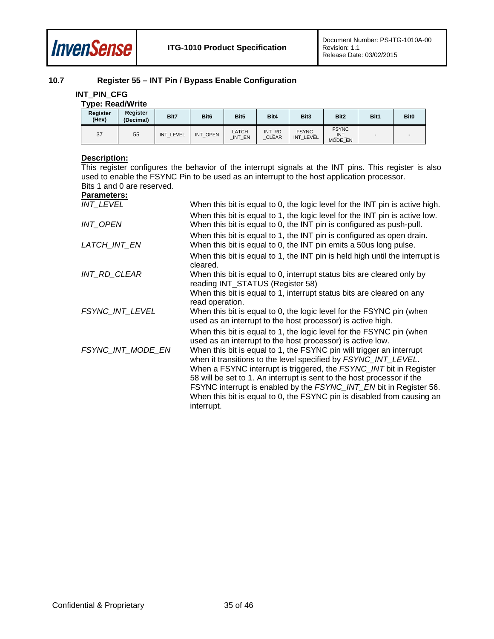

### <span id="page-34-0"></span>**10.7 Register 55 – INT Pin / Bypass Enable Configuration**

#### **INT\_PIN\_CFG**

|                   | <b>Type: Read/Write</b> |           |                  |                 |                        |                           |                                      |      |             |  |  |
|-------------------|-------------------------|-----------|------------------|-----------------|------------------------|---------------------------|--------------------------------------|------|-------------|--|--|
| Register<br>(Hex) | Register<br>(Decimal)   | Bit7      | Bit <sub>6</sub> | Bit5            | Bit4                   | Bit <sub>3</sub>          | Bit <sub>2</sub>                     | Bit1 | <b>Bit0</b> |  |  |
| 37                | 55                      | INT LEVEL | INT OPEN         | LATCH<br>INT_EN | INT RD<br><b>CLEAR</b> | <b>FSYNC</b><br>INT_LEVEL | <b>FSYNC</b><br>$\Box$ NT<br>MODE EN |      |             |  |  |

#### **Description:**

This register configures the behavior of the interrupt signals at the INT pins. This register is also used to enable the FSYNC Pin to be used as an interrupt to the host application processor. Bits 1 and 0 are reserved.

| <b>INT LEVEL</b>  | When this bit is equal to 0, the logic level for the INT pin is active high.                                                                                                                                                                                                                                                                                                                                                                         |
|-------------------|------------------------------------------------------------------------------------------------------------------------------------------------------------------------------------------------------------------------------------------------------------------------------------------------------------------------------------------------------------------------------------------------------------------------------------------------------|
|                   | When this bit is equal to 1, the logic level for the INT pin is active low.                                                                                                                                                                                                                                                                                                                                                                          |
| INT_OPEN          | When this bit is equal to 0, the INT pin is configured as push-pull.                                                                                                                                                                                                                                                                                                                                                                                 |
|                   | When this bit is equal to 1, the INT pin is configured as open drain.                                                                                                                                                                                                                                                                                                                                                                                |
| LATCH_INT_EN      | When this bit is equal to 0, the INT pin emits a 50 us long pulse.                                                                                                                                                                                                                                                                                                                                                                                   |
|                   | When this bit is equal to 1, the INT pin is held high until the interrupt is<br>cleared.                                                                                                                                                                                                                                                                                                                                                             |
| INT_RD_CLEAR      | When this bit is equal to 0, interrupt status bits are cleared only by<br>reading INT_STATUS (Register 58)                                                                                                                                                                                                                                                                                                                                           |
|                   | When this bit is equal to 1, interrupt status bits are cleared on any<br>read operation.                                                                                                                                                                                                                                                                                                                                                             |
| FSYNC INT LEVEL   | When this bit is equal to 0, the logic level for the FSYNC pin (when<br>used as an interrupt to the host processor) is active high.                                                                                                                                                                                                                                                                                                                  |
|                   | When this bit is equal to 1, the logic level for the FSYNC pin (when<br>used as an interrupt to the host processor) is active low.                                                                                                                                                                                                                                                                                                                   |
| FSYNC INT MODE EN | When this bit is equal to 1, the FSYNC pin will trigger an interrupt<br>when it transitions to the level specified by FSYNC_INT_LEVEL.<br>When a FSYNC interrupt is triggered, the FSYNC_INT bit in Register<br>58 will be set to 1. An interrupt is sent to the host processor if the<br>FSYNC interrupt is enabled by the FSYNC_INT_EN bit in Register 56.<br>When this bit is equal to 0, the FSYNC pin is disabled from causing an<br>interrupt. |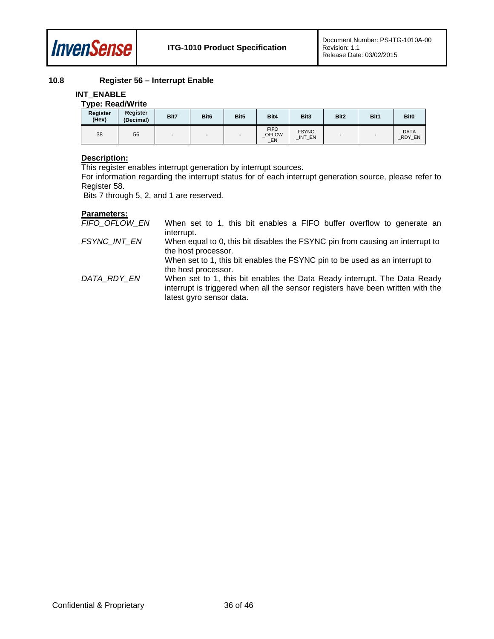

### **10.8 Register 56 – Interrupt Enable**

#### <span id="page-35-0"></span>**INT\_ENABLE**

### **Type: Read/Write**

| - -<br>Register<br>(Hex) | Register<br>(Decimal) | Bit7 | Bit <sub>6</sub> | Bit <sub>5</sub> | Bit4                         | Bit <sub>3</sub>        | Bit2 | Bit1 | <b>Bit0</b>           |
|--------------------------|-----------------------|------|------------------|------------------|------------------------------|-------------------------|------|------|-----------------------|
| 38                       | 56                    |      |                  |                  | <b>FIFO</b><br>_OFLOW<br>_EN | <b>FSYNC</b><br>_INT_EN |      |      | <b>DATA</b><br>RDY_EN |

#### **Description:**

This register enables interrupt generation by interrupt sources.

For information regarding the interrupt status for of each interrupt generation source, please refer to Register 58.

Bits 7 through 5, 2, and 1 are reserved.

| FIFO_OFLOW_EN | When set to 1, this bit enables a FIFO buffer overflow to generate an<br>interrupt.                                                                                                     |
|---------------|-----------------------------------------------------------------------------------------------------------------------------------------------------------------------------------------|
| FSYNC INT EN  | When equal to 0, this bit disables the FSYNC pin from causing an interrupt to<br>the host processor.                                                                                    |
|               | When set to 1, this bit enables the FSYNC pin to be used as an interrupt to<br>the host processor.                                                                                      |
| DATA RDY EN   | When set to 1, this bit enables the Data Ready interrupt. The Data Ready<br>interrupt is triggered when all the sensor registers have been written with the<br>latest gyro sensor data. |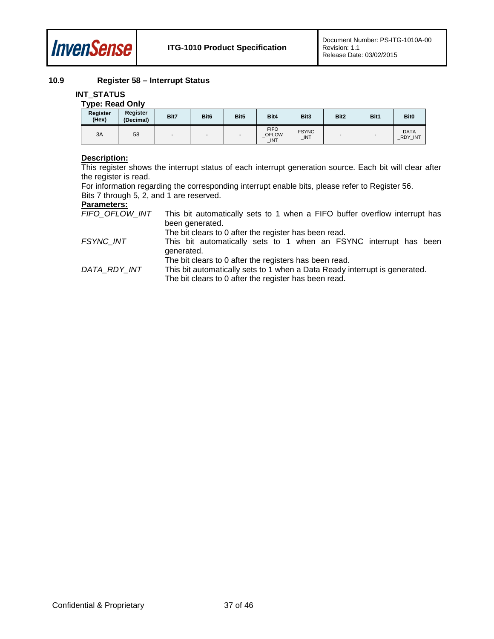

#### <span id="page-36-0"></span>**10.9 Register 58 – Interrupt Status**

#### **INT\_STATUS**

#### **Type: Read Only**

| . .<br><b>Register</b><br>(Hex) | Register<br>(Decimal) | Bit7 | Bit <sub>6</sub> | Bit5 | Bit4                                             | Bit <sub>3</sub>    | Bit2 | Bit1 | <b>Bit0</b>                   |
|---------------------------------|-----------------------|------|------------------|------|--------------------------------------------------|---------------------|------|------|-------------------------------|
| 3A                              | 58                    |      |                  |      | <b>FIFO</b><br><b>OFLOW</b><br>$\blacksquare$ NT | <b>FSYNC</b><br>INT |      |      | <b>DATA</b><br><b>RDY INT</b> |

#### **Description:**

This register shows the interrupt status of each interrupt generation source. Each bit will clear after the register is read.

For information regarding the corresponding interrupt enable bits, please refer to Register 56. Bits 7 through 5, 2, and 1 are reserved.

| FIFO OFLOW INT | This bit automatically sets to 1 when a FIFO buffer overflow interrupt has |
|----------------|----------------------------------------------------------------------------|
|                | been generated.                                                            |
|                | The bit clears to 0 after the register has been read.                      |

- *FSYNC\_INT* This bit automatically sets to 1 when an FSYNC interrupt has been generated.
	- The bit clears to 0 after the registers has been read.
- *DATA\_RDY\_INT* This bit automatically sets to 1 when a Data Ready interrupt is generated. The bit clears to 0 after the register has been read.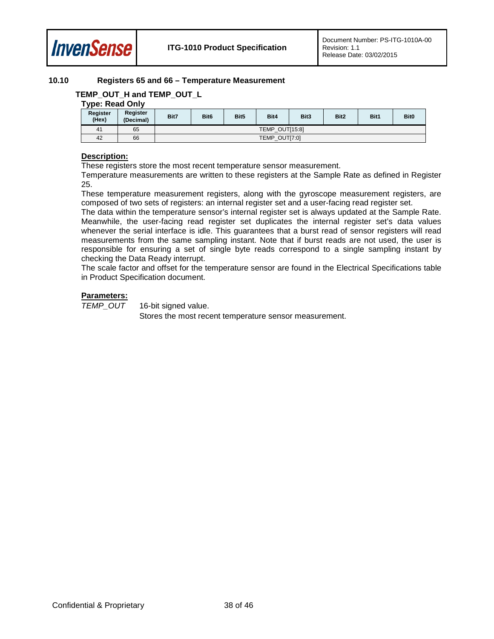

#### <span id="page-37-0"></span>**10.10 Registers 65 and 66 – Temperature Measurement**

### **TEMP\_OUT\_H and TEMP\_OUT\_L**

### **Type: Read Only**

| - -<br>Register<br>(Hex) | Register<br>(Decimal) | Bit7 | Bit <sub>6</sub>        | Bit <sub>5</sub> | Bit4 | Bit3 | Bit2 | Bit1 | <b>Bit0</b> |
|--------------------------|-----------------------|------|-------------------------|------------------|------|------|------|------|-------------|
| 41                       | 65                    |      | TEMP OUT[15:8]          |                  |      |      |      |      |             |
| 42                       | 66                    |      | <b>OUT[7:0]</b><br>TEMP |                  |      |      |      |      |             |

#### **Description:**

These registers store the most recent temperature sensor measurement.

Temperature measurements are written to these registers at the Sample Rate as defined in Register 25.

These temperature measurement registers, along with the gyroscope measurement registers, are composed of two sets of registers: an internal register set and a user-facing read register set.

The data within the temperature sensor's internal register set is always updated at the Sample Rate. Meanwhile, the user-facing read register set duplicates the internal register set's data values whenever the serial interface is idle. This guarantees that a burst read of sensor registers will read measurements from the same sampling instant. Note that if burst reads are not used, the user is responsible for ensuring a set of single byte reads correspond to a single sampling instant by checking the Data Ready interrupt.

The scale factor and offset for the temperature sensor are found in the Electrical Specifications table in Product Specification document.

#### **Parameters:**

*TEMP\_OUT* 16-bit signed value.

Stores the most recent temperature sensor measurement.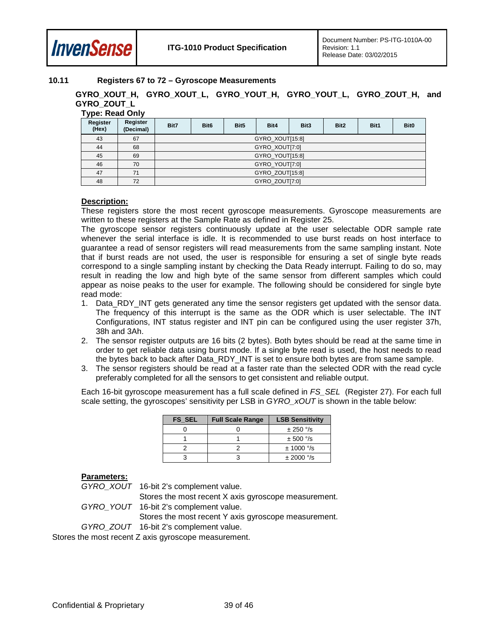

### <span id="page-38-0"></span>**10.11 Registers 67 to 72 – Gyroscope Measurements**

**GYRO\_XOUT\_H, GYRO\_XOUT\_L, GYRO\_YOUT\_H, GYRO\_YOUT\_L, GYRO\_ZOUT\_H, and GYRO\_ZOUT\_L Type: Read Only**

| . .<br>Register<br>(Hex) | Register<br>(Decimal) | Bit7 | Bit <sub>6</sub> | Bit <sub>5</sub> | Bit4           | Bit <sub>3</sub> | Bit <sub>2</sub> | Bit1 | <b>Bit0</b> |  |  |
|--------------------------|-----------------------|------|------------------|------------------|----------------|------------------|------------------|------|-------------|--|--|
| 43                       | 67                    |      | GYRO_XOUT[15:8]  |                  |                |                  |                  |      |             |  |  |
| 44                       | 68                    |      | GYRO_XOUT[7:0]   |                  |                |                  |                  |      |             |  |  |
| 45                       | 69                    |      | GYRO YOUT[15:8]  |                  |                |                  |                  |      |             |  |  |
| 46                       | 70                    |      |                  |                  | GYRO YOUT[7:0] |                  |                  |      |             |  |  |
| 47                       | 71                    |      | GYRO ZOUT[15:8]  |                  |                |                  |                  |      |             |  |  |
| 48                       | 72                    |      |                  |                  | GYRO ZOUT[7:0] |                  |                  |      |             |  |  |

#### **Description:**

These registers store the most recent gyroscope measurements. Gyroscope measurements are written to these registers at the Sample Rate as defined in Register 25.

The gyroscope sensor registers continuously update at the user selectable ODR sample rate whenever the serial interface is idle. It is recommended to use burst reads on host interface to guarantee a read of sensor registers will read measurements from the same sampling instant. Note that if burst reads are not used, the user is responsible for ensuring a set of single byte reads correspond to a single sampling instant by checking the Data Ready interrupt. Failing to do so, may result in reading the low and high byte of the same sensor from different samples which could appear as noise peaks to the user for example. The following should be considered for single byte read mode:

- 1. Data RDY INT gets generated any time the sensor registers get updated with the sensor data. The frequency of this interrupt is the same as the ODR which is user selectable. The INT Configurations, INT status register and INT pin can be configured using the user register 37h, 38h and 3Ah.
- 2. The sensor register outputs are 16 bits (2 bytes). Both bytes should be read at the same time in order to get reliable data using burst mode. If a single byte read is used, the host needs to read the bytes back to back after Data\_RDY\_INT is set to ensure both bytes are from same sample.
- 3. The sensor registers should be read at a faster rate than the selected ODR with the read cycle preferably completed for all the sensors to get consistent and reliable output.

Each 16-bit gyroscope measurement has a full scale defined in *FS\_SEL* (Register 27). For each full scale setting, the gyroscopes' sensitivity per LSB in *GYRO\_xOUT* is shown in the table below:

| <b>FS SEL</b> | <b>Full Scale Range</b> | <b>LSB Sensitivity</b> |  |  |  |
|---------------|-------------------------|------------------------|--|--|--|
|               |                         | $± 250$ °/s            |  |  |  |
|               |                         | $± 500$ °/s            |  |  |  |
|               |                         | $± 1000$ °/s           |  |  |  |
|               |                         | $± 2000$ °/s           |  |  |  |

#### **Parameters:**

*GYRO\_XOUT* 16-bit 2's complement value.

Stores the most recent X axis gyroscope measurement. *GYRO\_YOUT* 16-bit 2's complement value. Stores the most recent Y axis gyroscope measurement.

*GYRO\_ZOUT* 16-bit 2's complement value.

Stores the most recent Z axis gyroscope measurement.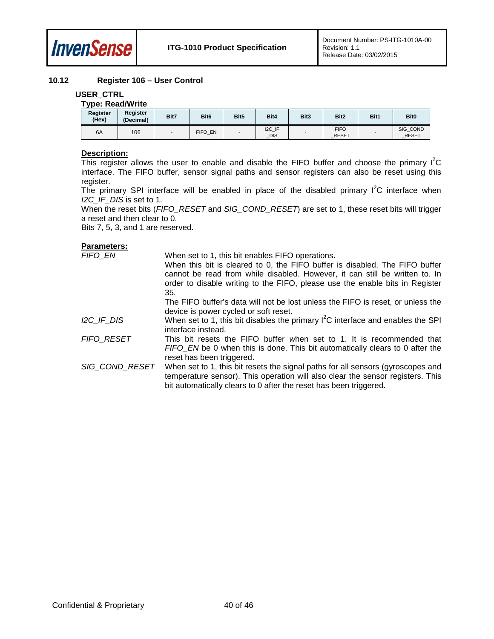

#### <span id="page-39-0"></span>**10.12 Register 106 – User Control**

#### **USER\_CTRL**

### **Type: Read/Write**

| Register<br>(Hex) | Register<br>(Decimal) | Bit7 | Bit <sub>6</sub> | Bit5 | Bit4              | Bit3 | Bit <sub>2</sub>            | Bit1 | <b>Bit0</b>              |
|-------------------|-----------------------|------|------------------|------|-------------------|------|-----------------------------|------|--------------------------|
| 6A                | 106                   |      | FIFO EN          |      | I2C_IF<br>$\_DIS$ |      | <b>FIFO</b><br><b>RESET</b> |      | SIG_COND<br><b>RESET</b> |

#### **Description:**

This register allows the user to enable and disable the FIFO buffer and choose the primary  $I^2C$ interface. The FIFO buffer, sensor signal paths and sensor registers can also be reset using this register.

The primary SPI interface will be enabled in place of the disabled primary  $I^2C$  interface when *I2C\_IF\_DIS* is set to 1.

When the reset bits (*FIFO\_RESET* and *SIG\_COND\_RESET*) are set to 1, these reset bits will trigger a reset and then clear to 0.

Bits 7, 5, 3, and 1 are reserved.

| FIFO EN           | When set to 1, this bit enables FIFO operations.                                                                                                                                                                                       |
|-------------------|----------------------------------------------------------------------------------------------------------------------------------------------------------------------------------------------------------------------------------------|
|                   | When this bit is cleared to 0, the FIFO buffer is disabled. The FIFO buffer                                                                                                                                                            |
|                   | cannot be read from while disabled. However, it can still be written to. In                                                                                                                                                            |
|                   | order to disable writing to the FIFO, please use the enable bits in Register                                                                                                                                                           |
|                   | 35.                                                                                                                                                                                                                                    |
|                   | The FIFO buffer's data will not be lost unless the FIFO is reset, or unless the                                                                                                                                                        |
|                   | device is power cycled or soft reset.                                                                                                                                                                                                  |
| I2C IF DIS        | When set to 1, this bit disables the primary $I^2C$ interface and enables the SPI<br>interface instead.                                                                                                                                |
| <b>FIFO RESET</b> | This bit resets the FIFO buffer when set to 1. It is recommended that<br>FIFO EN be 0 when this is done. This bit automatically clears to 0 after the<br>reset has been triggered.                                                     |
| SIG_COND_RESET    | When set to 1, this bit resets the signal paths for all sensors (gyroscopes and<br>temperature sensor). This operation will also clear the sensor registers. This<br>bit automatically clears to 0 after the reset has been triggered. |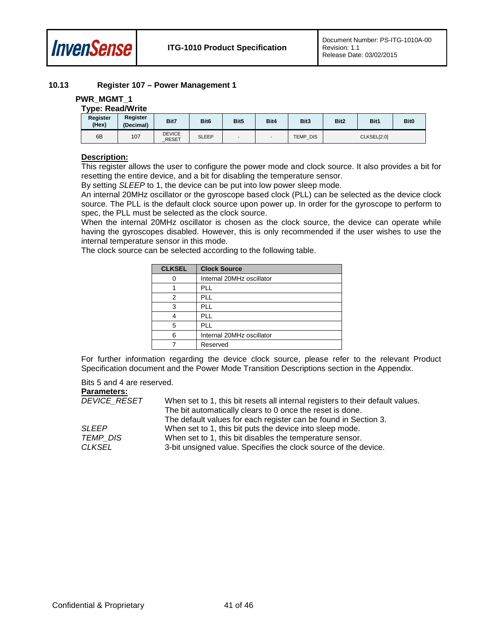

#### <span id="page-40-0"></span>**10.13 Register 107 – Power Management 1**

#### **PWR\_MGMT\_1**

#### **Type: Read/Write**

| Register<br>(Hex) | Register<br>(Decimal) | Bit7                          | Bit <sub>6</sub> | Bit5 | Bit4 | Bit3            | Bit2        | Bit1 | Bit <sub>0</sub> |
|-------------------|-----------------------|-------------------------------|------------------|------|------|-----------------|-------------|------|------------------|
| 6B                | 107                   | <b>DEVICE</b><br><b>RESET</b> | <b>SLEEP</b>     |      |      | <b>TEMP DIS</b> | CLKSEL[2:0] |      |                  |

#### **Description:**

This register allows the user to configure the power mode and clock source. It also provides a bit for resetting the entire device, and a bit for disabling the temperature sensor.

By setting *SLEEP* to 1, the device can be put into low power sleep mode.

An internal 20MHz oscillator or the gyroscope based clock (PLL) can be selected as the device clock source. The PLL is the default clock source upon power up. In order for the gyroscope to perform to spec, the PLL must be selected as the clock source.

When the internal 20MHz oscillator is chosen as the clock source, the device can operate while having the gyroscopes disabled. However, this is only recommended if the user wishes to use the internal temperature sensor in this mode.

The clock source can be selected according to the following table.

| <b>Clock Source</b>       |
|---------------------------|
| Internal 20MHz oscillator |
| <b>PLL</b>                |
| PLL                       |
| PLL                       |
| <b>PLL</b>                |
| <b>PLL</b>                |
| Internal 20MHz oscillator |
| Reserved                  |
|                           |

For further information regarding the device clock source, please refer to the relevant Product Specification document and the Power Mode Transition Descriptions section in the Appendix.

Bits 5 and 4 are reserved.

| <b>DEVICE RESET</b> | When set to 1, this bit resets all internal registers to their default values. |
|---------------------|--------------------------------------------------------------------------------|
|                     | The bit automatically clears to 0 once the reset is done.                      |
|                     | The default values for each register can be found in Section 3.                |
| <b>SLEEP</b>        | When set to 1, this bit puts the device into sleep mode.                       |
| <b>TEMP DIS</b>     | When set to 1, this bit disables the temperature sensor.                       |
| <b>CLKSEL</b>       | 3-bit unsigned value. Specifies the clock source of the device.                |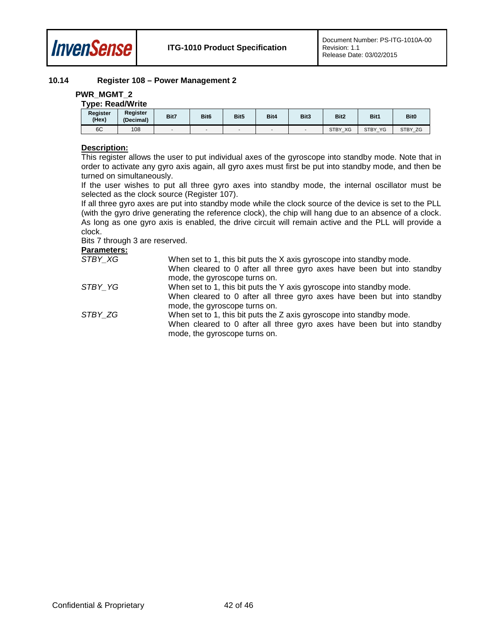

#### <span id="page-41-0"></span>**10.14 Register 108 – Power Management 2**

#### **PWR\_MGMT\_2**

| <b>Type: Read/Write</b> |                       |      |                  |      |      |      |                  |         |             |  |
|-------------------------|-----------------------|------|------------------|------|------|------|------------------|---------|-------------|--|
| Register<br>(Hex)       | Register<br>(Decimal) | Bit7 | Bit <sub>6</sub> | Bit5 | Bit4 | Bit3 | Bit <sub>2</sub> | Bit1    | <b>Bit0</b> |  |
| 6C                      | 108                   |      |                  | -    |      |      | STBY XG          | STBY_YG | STBY ZG     |  |

#### **Description:**

This register allows the user to put individual axes of the gyroscope into standby mode. Note that in order to activate any gyro axis again, all gyro axes must first be put into standby mode, and then be turned on simultaneously.

If the user wishes to put all three gyro axes into standby mode, the internal oscillator must be selected as the clock source (Register 107).

If all three gyro axes are put into standby mode while the clock source of the device is set to the PLL (with the gyro drive generating the reference clock), the chip will hang due to an absence of a clock. As long as one gyro axis is enabled, the drive circuit will remain active and the PLL will provide a clock.

Bits 7 through 3 are reserved.

| STBY XG | When set to 1, this bit puts the X axis gyroscope into standby mode.                                    |
|---------|---------------------------------------------------------------------------------------------------------|
|         | When cleared to 0 after all three gyro axes have been but into standby                                  |
|         | mode, the gyroscope turns on.                                                                           |
| STBY YG | When set to 1, this bit puts the Y axis gyroscope into standby mode.                                    |
|         | When cleared to 0 after all three gyro axes have been but into standby                                  |
|         | mode, the gyroscope turns on.                                                                           |
| STBY ZG | When set to 1, this bit puts the Z axis gyroscope into standby mode.                                    |
|         | When cleared to 0 after all three gyro axes have been but into standby<br>mode, the gyroscope turns on. |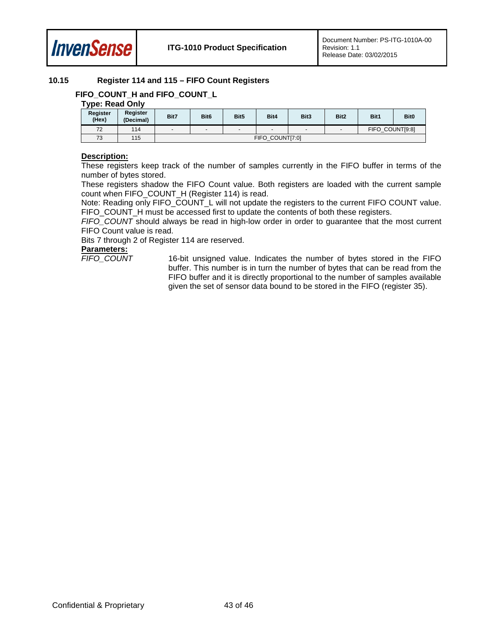

#### <span id="page-42-0"></span>**10.15 Register 114 and 115 – FIFO Count Registers**

### FIFO\_COUNT\_H and FIFO\_COUNT\_L

### **Type: Read Only**

| Register<br>(Hex) | Register<br>(Decimal) | Bit7   | Bit <sub>6</sub> | Bit <sub>5</sub> | Bit4   | Bit3                     | Bit2   | Bit1            | Bit <sub>0</sub> |
|-------------------|-----------------------|--------|------------------|------------------|--------|--------------------------|--------|-----------------|------------------|
| 72                | 114                   | $\sim$ | $\sim$           | -                | $\sim$ | $\overline{\phantom{0}}$ | $\sim$ | FIFO COUNT[9:8] |                  |
| 73                | 115                   |        | FIFO COUNT[7:0]  |                  |        |                          |        |                 |                  |

#### **Description:**

These registers keep track of the number of samples currently in the FIFO buffer in terms of the number of bytes stored.

These registers shadow the FIFO Count value. Both registers are loaded with the current sample count when FIFO\_COUNT\_H (Register 114) is read.

Note: Reading only FIFO\_COUNT\_L will not update the registers to the current FIFO COUNT value. FIFO\_COUNT\_H must be accessed first to update the contents of both these registers.

*FIFO\_COUNT* should always be read in high-low order in order to guarantee that the most current FIFO Count value is read.

Bits 7 through 2 of Register 114 are reserved.

# **Parameters:**

16-bit unsigned value. Indicates the number of bytes stored in the FIFO buffer. This number is in turn the number of bytes that can be read from the FIFO buffer and it is directly proportional to the number of samples available given the set of sensor data bound to be stored in the FIFO (register 35).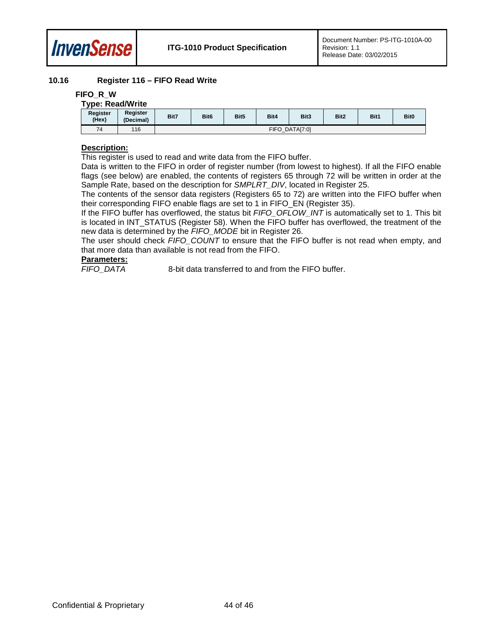

#### <span id="page-43-0"></span>**10.16 Register 116 – FIFO Read Write**

#### **FIFO\_R\_W**

| <b>Type: Read/Write</b>  |                       |      |                  |                  |      |      |      |      |                  |  |
|--------------------------|-----------------------|------|------------------|------------------|------|------|------|------|------------------|--|
| <b>Register</b><br>(Hex) | Register<br>(Decimal) | Bit7 | Bit <sub>6</sub> | Bit <sub>5</sub> | Bit4 | Bit3 | Bit2 | Bit1 | Bit <sub>0</sub> |  |
| 74                       | 116                   |      | FIFO DATA[7:0]   |                  |      |      |      |      |                  |  |

#### **Description:**

This register is used to read and write data from the FIFO buffer.

Data is written to the FIFO in order of register number (from lowest to highest). If all the FIFO enable flags (see below) are enabled, the contents of registers 65 through 72 will be written in order at the Sample Rate, based on the description for *SMPLRT\_DIV*, located in Register 25.

The contents of the sensor data registers (Registers 65 to 72) are written into the FIFO buffer when their corresponding FIFO enable flags are set to 1 in FIFO\_EN (Register 35).

If the FIFO buffer has overflowed, the status bit *FIFO\_OFLOW\_INT* is automatically set to 1. This bit is located in INT\_STATUS (Register 58). When the FIFO buffer has overflowed, the treatment of the new data is determined by the *FIFO\_MODE* bit in Register 26.

The user should check *FIFO\_COUNT* to ensure that the FIFO buffer is not read when empty, and that more data than available is not read from the FIFO.

#### **Parameters:**

*FIFO\_DATA* 8-bit data transferred to and from the FIFO buffer.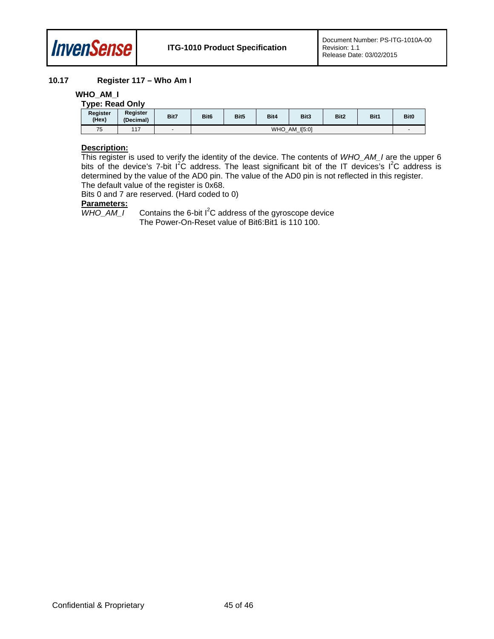

#### <span id="page-44-0"></span>**10.17 Register 117 – Who Am I**

#### **WHO\_AM\_I**

| <b>Type: Read Only</b> |                       |      |                  |                  |      |      |      |      |                  |  |  |
|------------------------|-----------------------|------|------------------|------------------|------|------|------|------|------------------|--|--|
| Register<br>(Hex)      | Register<br>(Decimal) | Bit7 | Bit <sub>6</sub> | Bit <sub>5</sub> | Bit4 | Bit3 | Bit2 | Bit1 | Bit <sub>0</sub> |  |  |
| 75                     | 117                   |      |                  | WHO_AM_I[5:0]    |      |      |      |      |                  |  |  |

#### **Description:**

This register is used to verify the identity of the device. The contents of *WHO\_AM\_I* are the upper 6 bits of the device's 7-bit  $I^2C$  address. The least significant bit of the IT devices's  $I^2C$  address is determined by the value of the AD0 pin. The value of the AD0 pin is not reflected in this register. The default value of the register is 0x68.

Bits 0 and 7 are reserved. (Hard coded to 0)

**Parameters:**

 $WHO\_AM\_I$  Contains the 6-bit  $I^2C$  address of the gyroscope device The Power-On-Reset value of Bit6:Bit1 is 110 100.